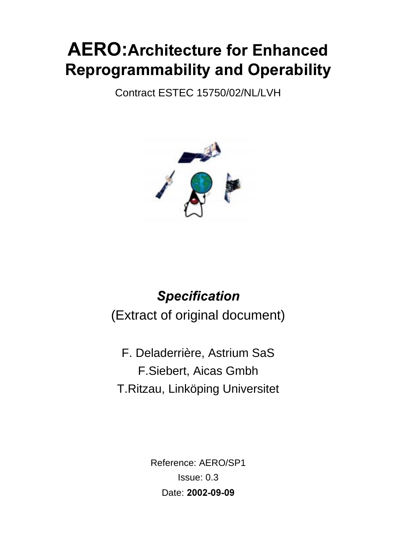# **AERO: Architecture for Enhanced** Reprogrammability and Operability

Contract ESTEC 15750/02/NL/LVH



# **Specification** (Extract of original document)

F. Deladerrière, Astrium SaS F.Siebert, Aicas Gmbh T.Ritzau, Linköping Universitet

> Reference: AERO/SP1 Issue: 0.3 Date: 2002-09-09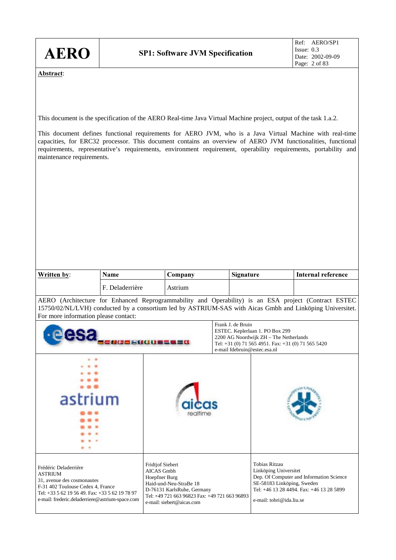| <b>AERO</b>                                                                                                                                                                                                                                                                                                                                                                                                                                                                                              |                   | <b>SP1: Software JVM Specification</b>                                                                                                                                                       |                                                   |                                                                                                                                                                                          | Ref: AERO/SP1<br>Issue: $0.3$<br>Date: 2002-09-09<br>Page: 2 of 83                                                                                                                                               |  |
|----------------------------------------------------------------------------------------------------------------------------------------------------------------------------------------------------------------------------------------------------------------------------------------------------------------------------------------------------------------------------------------------------------------------------------------------------------------------------------------------------------|-------------------|----------------------------------------------------------------------------------------------------------------------------------------------------------------------------------------------|---------------------------------------------------|------------------------------------------------------------------------------------------------------------------------------------------------------------------------------------------|------------------------------------------------------------------------------------------------------------------------------------------------------------------------------------------------------------------|--|
| Abstract:<br>This document is the specification of the AERO Real-time Java Virtual Machine project, output of the task 1.a.2.<br>This document defines functional requirements for AERO JVM, who is a Java Virtual Machine with real-time<br>capacities, for ERC32 processor. This document contains an overview of AERO JVM functionalities, functional<br>requirements, representative's requirements, environment requirement, operability requirements, portability and<br>maintenance requirements. |                   |                                                                                                                                                                                              |                                                   |                                                                                                                                                                                          |                                                                                                                                                                                                                  |  |
|                                                                                                                                                                                                                                                                                                                                                                                                                                                                                                          | <b>Name</b>       |                                                                                                                                                                                              | Signature                                         |                                                                                                                                                                                          | <b>Internal reference</b>                                                                                                                                                                                        |  |
| Written by:                                                                                                                                                                                                                                                                                                                                                                                                                                                                                              | F. Deladerrière   | Company<br>Astrium                                                                                                                                                                           |                                                   |                                                                                                                                                                                          |                                                                                                                                                                                                                  |  |
| For more information please contact:                                                                                                                                                                                                                                                                                                                                                                                                                                                                     |                   |                                                                                                                                                                                              |                                                   |                                                                                                                                                                                          | AERO (Architecture for Enhanced Reprogrammability and Operability) is an ESA project (Contract ESTEC<br>15750/02/NL/LVH) conducted by a consortium led by ASTRIUM-SAS with Aicas Gmbh and Linköping Universitet. |  |
|                                                                                                                                                                                                                                                                                                                                                                                                                                                                                                          | <b>BEEBINDERS</b> |                                                                                                                                                                                              | Frank J. de Bruin<br>e-mail fdebruin@estec.esa.nl | ESTEC. Keplerlaan 1. PO Box 299<br>2200 AG Noordwijk ZH - The Netherlands<br>Tel: +31 (0) 71 565 4951. Fax: +31 (0) 71 565 5420                                                          |                                                                                                                                                                                                                  |  |
| astrium                                                                                                                                                                                                                                                                                                                                                                                                                                                                                                  |                   |                                                                                                                                                                                              |                                                   |                                                                                                                                                                                          |                                                                                                                                                                                                                  |  |
| Frédéric Deladerrière<br><b>ASTRIUM</b><br>31, avenue des cosmonautes<br>F-31 402 Toulouse Cedex 4, France<br>Tel: +33 5 62 19 56 49. Fax: +33 5 62 19 78 97<br>e-mail: frederic.deladerriere@astrium-space.com                                                                                                                                                                                                                                                                                          |                   | <b>Fridtjof Siebert</b><br>AICAS Gmbh<br>Hoepfner Burg<br>Haid-und-Neu-StraBe 18<br>D-76131 KarlsRuhe, Germany<br>Tel: +49 721 663 96823 Fax: +49 721 663 96893<br>e-mail: siebert@aicas.com |                                                   | Tobias Ritzau<br>Linköping Universitet<br>Dep. Of Computer and Information Science<br>SE-58183 Linköping, Sweden<br>Tel: +46 13 28 4494. Fax: +46 13 28 5899<br>e-mail: tobri@ida.liu.se |                                                                                                                                                                                                                  |  |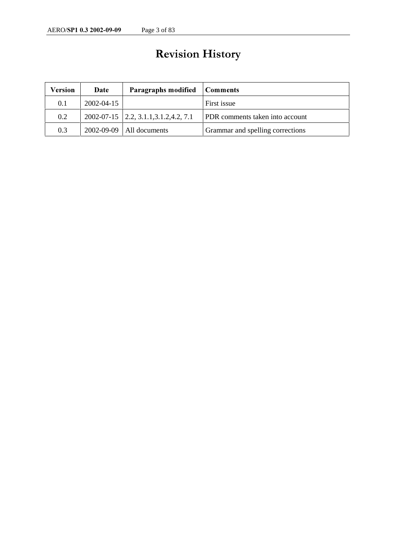# Revision History

| Version | Date       | Paragraphs modified                      | Comments                               |
|---------|------------|------------------------------------------|----------------------------------------|
| 0.1     | 2002-04-15 |                                          | First issue                            |
| 0.2     |            | $2002-07-15$ 2.2, 3.1.1, 3.1.2, 4.2, 7.1 | <b>PDR</b> comments taken into account |
| 0.3     |            | $2002-09-09$   All documents             | Grammar and spelling corrections       |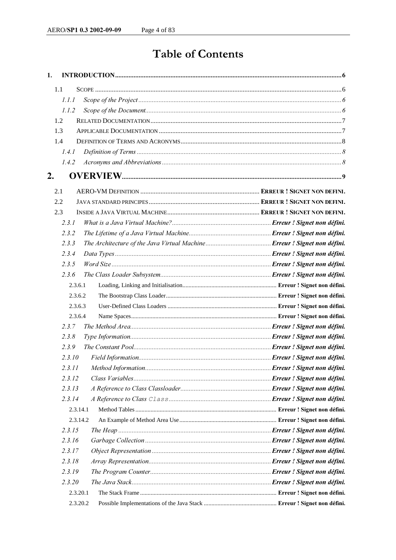# Table of Contents

| 1.      |          |  |
|---------|----------|--|
| 1.1     |          |  |
| 1.1.1   |          |  |
| 1.1.2   |          |  |
| 1.2     |          |  |
| 1.3     |          |  |
| 1.4     |          |  |
| 1.4.1   |          |  |
| 1.4.2   |          |  |
| 2.      |          |  |
| 2.1     |          |  |
| 2.2     |          |  |
| 2.3     |          |  |
| 2.3.1   |          |  |
| 2.3.2   |          |  |
| 2.3.3   |          |  |
| 2.3.4   |          |  |
| 2.3.5   |          |  |
| 2.3.6   |          |  |
| 2.3.6.1 |          |  |
| 2.3.6.2 |          |  |
| 2.3.6.3 |          |  |
| 2.3.6.4 |          |  |
| 2.3.7   |          |  |
| 2.3.8   |          |  |
| 2.3.9   |          |  |
| 2.3.10  |          |  |
| 2.3.11  |          |  |
| 2.3.12  |          |  |
| 2.3.13  |          |  |
| 2.3.14  |          |  |
|         | 2.3.14.1 |  |
|         | 2.3.14.2 |  |
| 2.3.15  |          |  |
| 2.3.16  |          |  |
| 2.3.17  |          |  |
| 2.3.18  |          |  |
| 2.3.19  |          |  |
| 2.3.20  |          |  |
|         | 2.3.20.1 |  |
|         | 2.3.20.2 |  |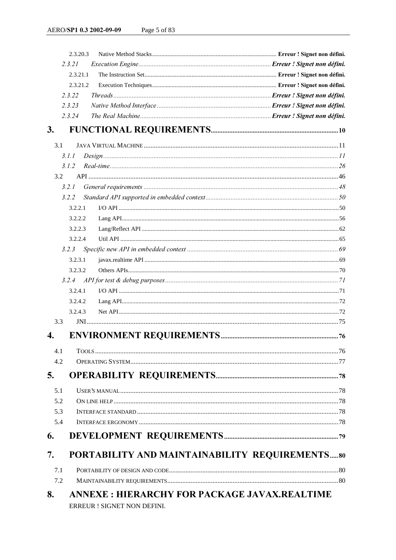|     | 2.3.20.3                                            |  |
|-----|-----------------------------------------------------|--|
|     | 2.3.21                                              |  |
|     | 2.3.21.1                                            |  |
|     | 2.3.21.2                                            |  |
|     | 2.3.22                                              |  |
|     | 2.3.23                                              |  |
|     | 2.3.24                                              |  |
| 3.  |                                                     |  |
|     |                                                     |  |
| 3.1 |                                                     |  |
|     | Design 111<br>3.1.1                                 |  |
|     | 3.1.2                                               |  |
| 3.2 |                                                     |  |
|     | 3.2.1                                               |  |
|     | 3.2.2                                               |  |
|     | 3.2.2.1                                             |  |
|     | 3.2.2.2                                             |  |
|     | 3.2.2.3                                             |  |
|     | 3.2.2.4                                             |  |
|     | 3.2.3                                               |  |
|     | 3.2.3.1                                             |  |
|     | 3.2.3.2                                             |  |
|     | 3.2.4                                               |  |
|     | 3.2.4.1                                             |  |
|     | 3.2.4.2                                             |  |
|     | 3.2.4.3                                             |  |
| 3.3 |                                                     |  |
| 4.  |                                                     |  |
| 4.1 |                                                     |  |
| 4.2 |                                                     |  |
|     |                                                     |  |
| 5.  |                                                     |  |
| 5.1 |                                                     |  |
| 5.2 |                                                     |  |
| 5.3 |                                                     |  |
| 5.4 |                                                     |  |
| 6.  |                                                     |  |
|     |                                                     |  |
| 7.  | PORTABILITY AND MAINTAINABILITY REQUIREMENTS80      |  |
| 7.1 |                                                     |  |
| 7.2 |                                                     |  |
| 8.  | <b>ANNEXE: HIERARCHY FOR PACKAGE JAVAX.REALTIME</b> |  |
|     | ERREUR ! SIGNET NON DEFINI.                         |  |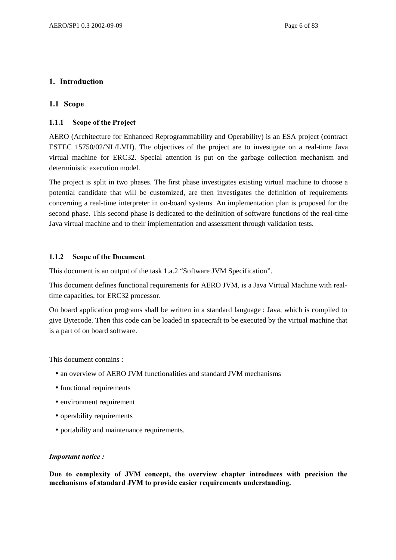# 1. Introduction

## 1.1 Scope

## 1.1.1 Scope of the Project

AERO (Architecture for Enhanced Reprogrammability and Operability) is an ESA project (contract ESTEC 15750/02/NL/LVH). The objectives of the project are to investigate on a real-time Java virtual machine for ERC32. Special attention is put on the garbage collection mechanism and deterministic execution model.

The project is split in two phases. The first phase investigates existing virtual machine to choose a potential candidate that will be customized, are then investigates the definition of requirements concerning a real-time interpreter in on-board systems. An implementation plan is proposed for the second phase. This second phase is dedicated to the definition of software functions of the real-time Java virtual machine and to their implementation and assessment through validation tests.

#### 1.1.2 Scope of the Document

This document is an output of the task 1.a.2 "Software JVM Specification".

This document defines functional requirements for AERO JVM, is a Java Virtual Machine with realtime capacities, for ERC32 processor.

On board application programs shall be written in a standard language : Java, which is compiled to give Bytecode. Then this code can be loaded in spacecraft to be executed by the virtual machine that is a part of on board software.

This document contains :

- an overview of AERO JVM functionalities and standard JVM mechanisms
- functional requirements
- environment requirement
- operability requirements
- portability and maintenance requirements.

#### *Important notice:*

Due to complexity of JVM concept, the overview chapter introduces with precision the mechanisms of standard JVM to provide easier requirements understanding.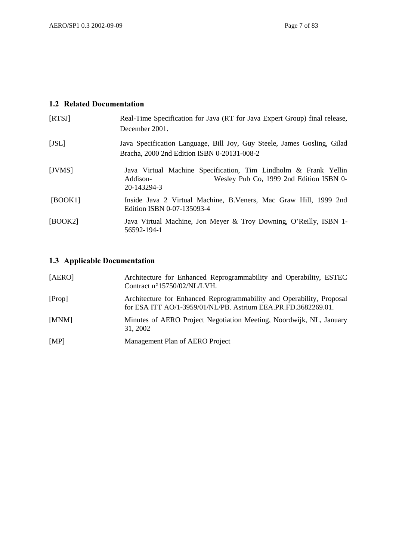# 1.2 Related Documentation

| [RTSI]  | Real-Time Specification for Java (RT for Java Expert Group) final release,<br>December 2001.                                          |
|---------|---------------------------------------------------------------------------------------------------------------------------------------|
| $[JSL]$ | Java Specification Language, Bill Joy, Guy Steele, James Gosling, Gilad<br>Bracha, 2000 2nd Edition ISBN 0-20131-008-2                |
| [JVMS]  | Java Virtual Machine Specification, Tim Lindholm & Frank Yellin<br>Wesley Pub Co, 1999 2nd Edition ISBN 0-<br>Addison-<br>20-143294-3 |
| [BOOK1] | Inside Java 2 Virtual Machine, B.Veners, Mac Graw Hill, 1999 2nd<br>Edition ISBN 0-07-135093-4                                        |
| [BOOK2] | Java Virtual Machine, Jon Meyer & Troy Downing, O'Reilly, ISBN 1-<br>56592-194-1                                                      |

# 1.3 Applicable Documentation

| [AERO] | Architecture for Enhanced Reprogrammability and Operability, ESTEC<br>Contract n°15750/02/NL/LVH.                                      |
|--------|----------------------------------------------------------------------------------------------------------------------------------------|
| [Prop] | Architecture for Enhanced Reprogrammability and Operability, Proposal<br>for ESA ITT AO/1-3959/01/NL/PB. Astrium EEA.PR.FD.3682269.01. |
| [MNM]  | Minutes of AERO Project Negotiation Meeting, Noordwijk, NL, January<br>31, 2002                                                        |
| [MP]   | Management Plan of AERO Project                                                                                                        |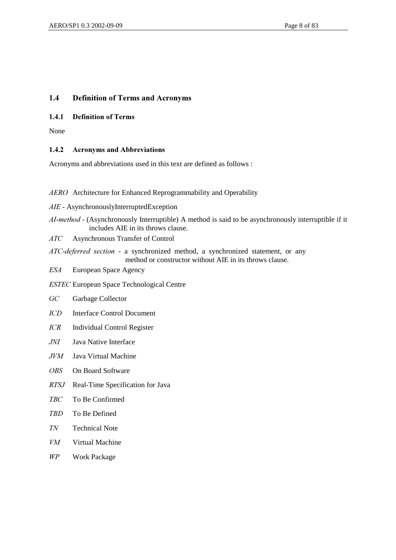# 1.4 Definition of Terms and Acronyms

#### 1.4.1 Definition of Terms

None

## 1.4.2 Acronyms and Abbreviations

Acronyms and abbreviations used in this text are defined as follows :

*AERO* Architecture for Enhanced Reprogrammability and Operability

AIE - AsynchronouslyInterruptedException

*AI-method* - (Asynchronously Interruptible) A method is said to be asynchronously interruptible if it includes AIE in its throws clause.

*\$7&* Asynchronous Transfer of Control

*ATC-deferred section* - a synchronized method, a synchronized statement, or any method or constructor without AIE in its throws clause.

**ESA** European Space Agency

*ESTEC* European Space Technological Centre

- GC Garbage Collector
- *ICD* Interface Control Document
- *ICR* Individual Control Register
- *JNI* Java Native Interface
- *JVM* Java Virtual Machine
- OBS On Board Software
- *RTSJ* Real-Time Specification for Java
- *7%&* To Be Confirmed
- *7%'* To Be Defined
- *71* Technical Note
- *VM* Virtual Machine
- *WP* Work Package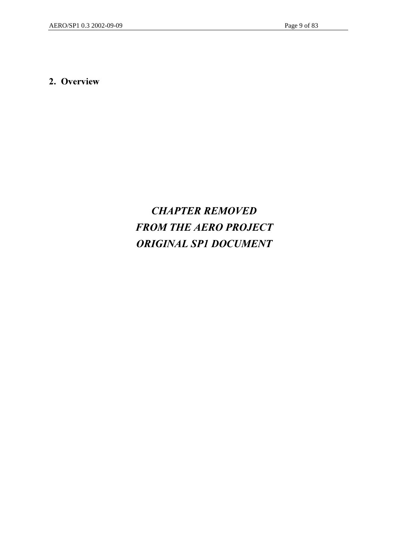# 2. Overview

# **CHAPTER REMOVED FROM THE AERO PROJECT** *25,157,100CUMENT*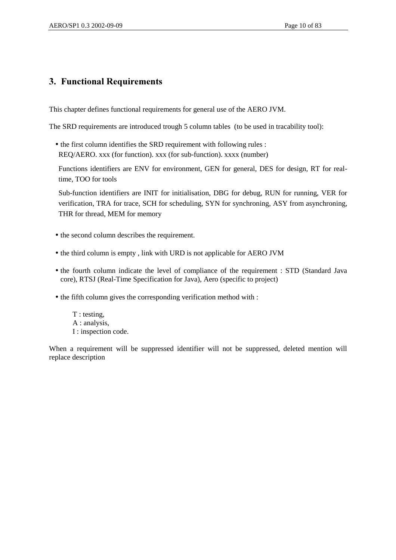# 3. Functional Requirements

This chapter defines functional requirements for general use of the AERO JVM.

The SRD requirements are introduced trough 5 column tables (to be used in tracability tool):

• the first column identifies the SRD requirement with following rules : REQ/AERO. xxx (for function). xxx (for sub-function). xxxx (number)

Functions identifiers are ENV for environment, GEN for general, DES for design, RT for realtime, TOO for tools

Sub-function identifiers are INIT for initialisation, DBG for debug, RUN for running, VER for verification, TRA for trace, SCH for scheduling, SYN for synchroning, ASY from asynchroning, THR for thread, MEM for memory

- the second column describes the requirement.
- the third column is empty , link with URD is not applicable for AERO JVM
- the fourth column indicate the level of compliance of the requirement : STD (Standard Java core), RTSJ (Real-Time Specification for Java), Aero (specific to project)
- the fifth column gives the corresponding verification method with :
	- T : testing, A : analysis, I : inspection code.

When a requirement will be suppressed identifier will not be suppressed, deleted mention will replace description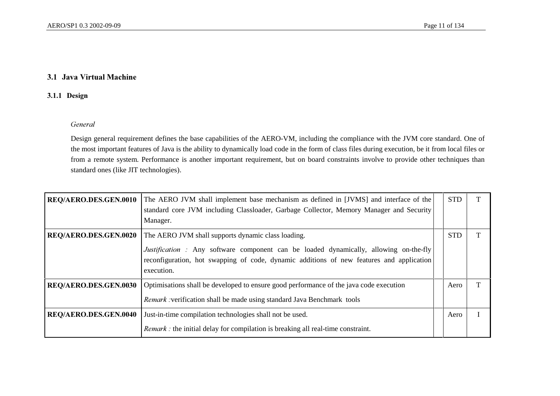#### 3.1 Java Virtual Machine

### 3.1.1 Design

#### General

Design general requirement defines the base capabilities of the AERO-VM, including the compliance with the JVM core standard. One of the most important features of Java is the ability to dynamically load code in the form of class files during execution, be it from local files or from a remote system. Performance is another important requirement, but on board constraints involve to provide other techniques than standard ones (like JIT technologies).

| REQ/AERO.DES.GEN.0010 | The AERO JVM shall implement base mechanism as defined in [JVMS] and interface of the<br>standard core JVM including Classloader, Garbage Collector, Memory Manager and Security<br>Manager.           | <b>STD</b> |  |
|-----------------------|--------------------------------------------------------------------------------------------------------------------------------------------------------------------------------------------------------|------------|--|
| REQ/AERO.DES.GEN.0020 | The AERO JVM shall supports dynamic class loading.                                                                                                                                                     | <b>STD</b> |  |
|                       | <i>Justification</i> : Any software component can be loaded dynamically, allowing on-the-fly<br>reconfiguration, hot swapping of code, dynamic additions of new features and application<br>execution. |            |  |
| REQ/AERO.DES.GEN.0030 | Optimisations shall be developed to ensure good performance of the java code execution                                                                                                                 | Aero       |  |
|                       | <i>Remark</i> : verification shall be made using standard Java Benchmark tools                                                                                                                         |            |  |
| REQ/AERO.DES.GEN.0040 | Just-in-time compilation technologies shall not be used.                                                                                                                                               | Aero       |  |
|                       | Remark : the initial delay for compilation is breaking all real-time constraint.                                                                                                                       |            |  |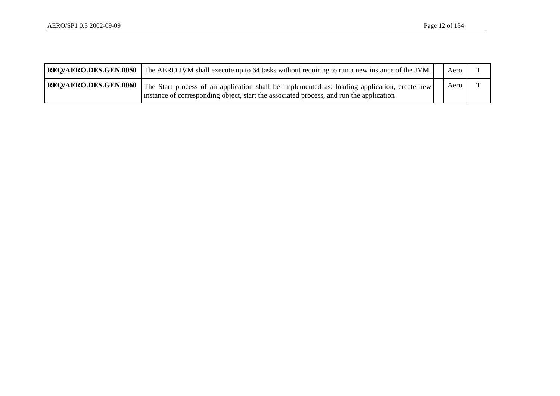| <b>REQ/AERO.DES.GEN.0050</b> The AERO JVM shall execute up to 64 tasks without requiring to run a new instance of the JVM.                                                                                      | Aero |  |
|-----------------------------------------------------------------------------------------------------------------------------------------------------------------------------------------------------------------|------|--|
| REQ/AERO.DES.GEN.0060   The Start process of an application shall be implemented as: loading application, create new<br>instance of corresponding object, start the associated process, and run the application | Aero |  |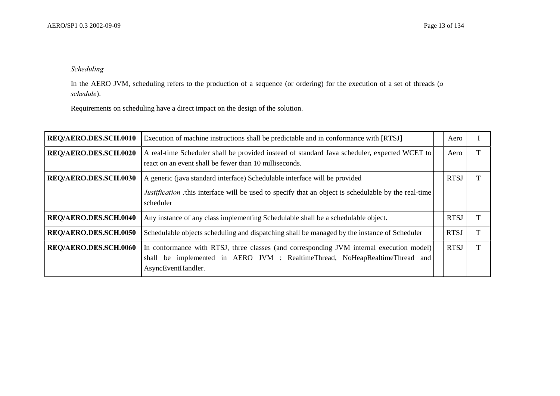## *Scheduling*

In the AERO JVM, scheduling refers to the production of a sequence (or ordering) for the execution of a set of threads (*a*  $s$ *chedule*).

Requirements on scheduling have a direct impact on the design of the solution.

| REQ/AERO.DES.SCH.0010 | Execution of machine instructions shall be predictable and in conformance with [RTSJ]                                                                                                                   | Aero        |  |
|-----------------------|---------------------------------------------------------------------------------------------------------------------------------------------------------------------------------------------------------|-------------|--|
| REQ/AERO.DES.SCH.0020 | A real-time Scheduler shall be provided instead of standard Java scheduler, expected WCET to<br>react on an event shall be fewer than 10 milliseconds.                                                  | Aero        |  |
| REQ/AERO.DES.SCH.0030 | A generic (java standard interface) Schedulable interface will be provided<br><i>Justification</i> : this interface will be used to specify that an object is schedulable by the real-time<br>scheduler | <b>RTSJ</b> |  |
| REQ/AERO.DES.SCH.0040 | Any instance of any class implementing Schedulable shall be a schedulable object.                                                                                                                       | <b>RTSJ</b> |  |
| REQ/AERO.DES.SCH.0050 | Schedulable objects scheduling and dispatching shall be managed by the instance of Scheduler                                                                                                            | <b>RTSJ</b> |  |
| REQ/AERO.DES.SCH.0060 | In conformance with RTSJ, three classes (and corresponding JVM internal execution model)<br>shall be implemented in AERO JVM : RealtimeThread, NoHeapRealtimeThread and<br>AsyncEventHandler.           | <b>RTSJ</b> |  |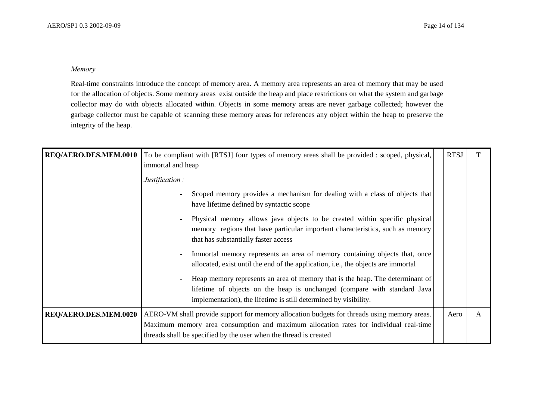#### $Memory$

Real-time constraints introduce the concept of memory area. A memory area represents an area of memory that may be used for the allocation of objects. Some memory areas exist outside the heap and place restrictions on what the system and garbage collector may do with objects allocated within. Objects in some memory areas are never garbage collected; however the garbage collector must be capable of scanning these memory areas for references any object within the heap to preserve the integrity of the heap.

| REQ/AERO.DES.MEM.0010 | To be compliant with [RTSJ] four types of memory areas shall be provided : scoped, physical,<br>immortal and heap                                                                                                             |  | <b>RTSJ</b> |              |
|-----------------------|-------------------------------------------------------------------------------------------------------------------------------------------------------------------------------------------------------------------------------|--|-------------|--------------|
|                       | Justification:                                                                                                                                                                                                                |  |             |              |
|                       | Scoped memory provides a mechanism for dealing with a class of objects that<br>have lifetime defined by syntactic scope                                                                                                       |  |             |              |
|                       | Physical memory allows java objects to be created within specific physical<br>memory regions that have particular important characteristics, such as memory<br>that has substantially faster access                           |  |             |              |
|                       | Immortal memory represents an area of memory containing objects that, once<br>allocated, exist until the end of the application, <i>i.e.</i> , the objects are immortal                                                       |  |             |              |
|                       | Heap memory represents an area of memory that is the heap. The determinant of<br>lifetime of objects on the heap is unchanged (compare with standard Java<br>implementation), the lifetime is still determined by visibility. |  |             |              |
| REQ/AERO.DES.MEM.0020 | AERO-VM shall provide support for memory allocation budgets for threads using memory areas.                                                                                                                                   |  | Aero        | $\mathbf{A}$ |
|                       | Maximum memory area consumption and maximum allocation rates for individual real-time                                                                                                                                         |  |             |              |
|                       | threads shall be specified by the user when the thread is created                                                                                                                                                             |  |             |              |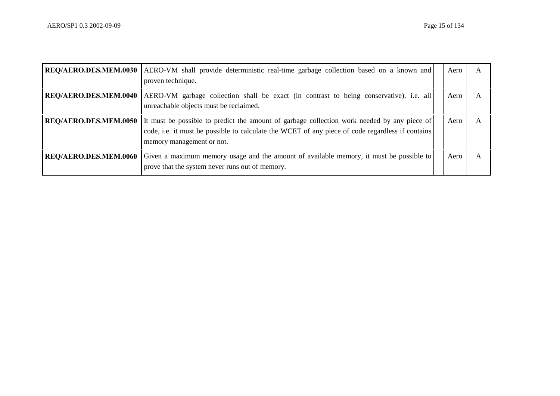| REQ/AERO.DES.MEM.0030 | AERO-VM shall provide deterministic real-time garbage collection based on a known and<br>proven technique.                                                                                                                   | Aero | A |
|-----------------------|------------------------------------------------------------------------------------------------------------------------------------------------------------------------------------------------------------------------------|------|---|
| REQ/AERO.DES.MEM.0040 | AERO-VM garbage collection shall be exact (in contrast to being conservative), i.e. all<br>unreachable objects must be reclaimed.                                                                                            | Aero |   |
| REQ/AERO.DES.MEM.0050 | It must be possible to predict the amount of garbage collection work needed by any piece of<br>code, i.e. it must be possible to calculate the WCET of any piece of code regardless if contains<br>memory management or not. | Aero |   |
| REQ/AERO.DES.MEM.0060 | Given a maximum memory usage and the amount of available memory, it must be possible to<br>prove that the system never runs out of memory.                                                                                   | Aero | A |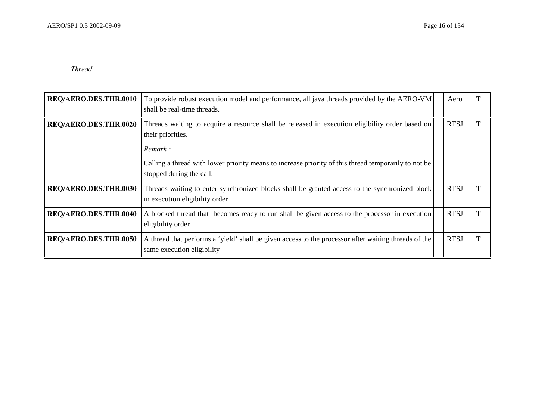#### Thread

| REQ/AERO.DES.THR.0010        | To provide robust execution model and performance, all java threads provided by the AERO-VM<br>shall be real-time threads.                                                                                                                                          | Aero        |   |
|------------------------------|---------------------------------------------------------------------------------------------------------------------------------------------------------------------------------------------------------------------------------------------------------------------|-------------|---|
| REQ/AERO.DES.THR.0020        | Threads waiting to acquire a resource shall be released in execution eligibility order based on<br>their priorities.<br>Remark:<br>Calling a thread with lower priority means to increase priority of this thread temporarily to not be<br>stopped during the call. | <b>RTSJ</b> |   |
| <b>REQ/AERO.DES.THR.0030</b> | Threads waiting to enter synchronized blocks shall be granted access to the synchronized block<br>in execution eligibility order                                                                                                                                    | <b>RTSJ</b> | T |
| REQ/AERO.DES.THR.0040        | A blocked thread that becomes ready to run shall be given access to the processor in execution<br>eligibility order                                                                                                                                                 | <b>RTSJ</b> | T |
| REQ/AERO.DES.THR.0050        | A thread that performs a 'yield' shall be given access to the processor after waiting threads of the<br>same execution eligibility                                                                                                                                  | <b>RTSJ</b> | т |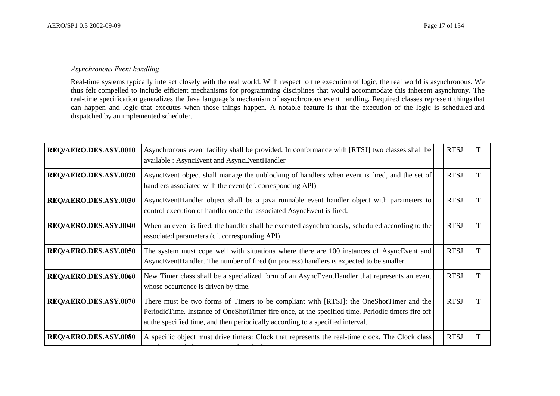#### $A$ synchronous Event handling

Real-time systems typically interact closely with the real world. With respect to the execution of logic, the real world is asynchronous. We thus felt compelled to include efficient mechanisms for programming disciplines that would accommodate this inherent asynchrony. The real-time specification generalizes the Java language's mechanism of asynchronous event handling. Required classes represent things that can happen and logic that executes when those things happen. A notable feature is that the execution of the logic is scheduled and dispatched by an implemented scheduler.

| REQ/AERO.DES.ASY.0010 | Asynchronous event facility shall be provided. In conformance with [RTSJ] two classes shall be<br>available : AsyncEvent and AsyncEventHandler                                                                                                                                  | <b>RTSJ</b> | T |
|-----------------------|---------------------------------------------------------------------------------------------------------------------------------------------------------------------------------------------------------------------------------------------------------------------------------|-------------|---|
| REQ/AERO.DES.ASY.0020 | AsyncEvent object shall manage the unblocking of handlers when event is fired, and the set of<br>handlers associated with the event (cf. corresponding API)                                                                                                                     | <b>RTSJ</b> | T |
| REQ/AERO.DES.ASY.0030 | AsyncEventHandler object shall be a java runnable event handler object with parameters to<br>control execution of handler once the associated AsyncEvent is fired.                                                                                                              | <b>RTSJ</b> | T |
| REQ/AERO.DES.ASY.0040 | When an event is fired, the handler shall be executed asynchronously, scheduled according to the<br>associated parameters (cf. corresponding API)                                                                                                                               | <b>RTSJ</b> | T |
| REQ/AERO.DES.ASY.0050 | The system must cope well with situations where there are 100 instances of AsyncEvent and<br>AsyncEventHandler. The number of fired (in process) handlers is expected to be smaller.                                                                                            | <b>RTSJ</b> | T |
| REQ/AERO.DES.ASY.0060 | New Timer class shall be a specialized form of an AsyncEventHandler that represents an event<br>whose occurrence is driven by time.                                                                                                                                             | <b>RTSJ</b> | T |
| REQ/AERO.DES.ASY.0070 | There must be two forms of Timers to be compliant with [RTSJ]: the OneShotTimer and the<br>PeriodicTime. Instance of OneShotTimer fire once, at the specified time. Periodic timers fire off<br>at the specified time, and then periodically according to a specified interval. | <b>RTSJ</b> | T |
| REQ/AERO.DES.ASY.0080 | A specific object must drive timers: Clock that represents the real-time clock. The Clock class                                                                                                                                                                                 | <b>RTSJ</b> | т |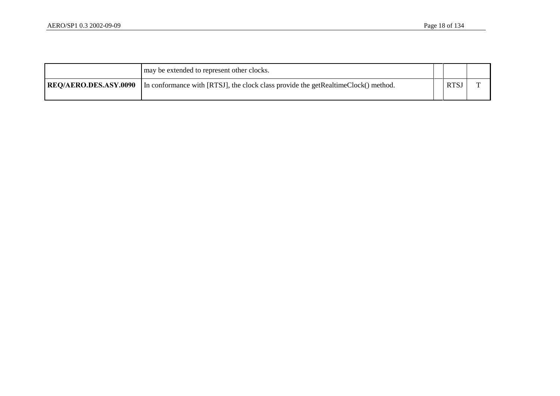|                              | may be extended to represent other clocks.                                         |      |  |
|------------------------------|------------------------------------------------------------------------------------|------|--|
| <b>REO/AERO.DES.ASY.0090</b> | In conformance with [RTSJ], the clock class provide the getRealtimeClock() method. | RTS. |  |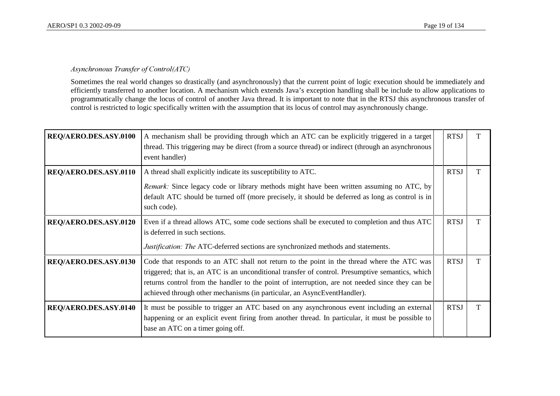### $A$ synchronous Transfer of Control(ATC)

Sometimes the real world changes so drastically (and asynchronously) that the current point of logic execution should be immediately and efficiently transferred to another location. A mechanism which extends Java's exception handling shall be include to allow applications to programmatically change the locus of control of another Java thread. It is important to note that in the RTSJ this asynchronous transfer of control is restricted to logic specifically written with the assumption that its locus of control may asynchronously change.

| REQ/AERO.DES.ASY.0100 | A mechanism shall be providing through which an ATC can be explicitly triggered in a target<br>thread. This triggering may be direct (from a source thread) or indirect (through an asynchronous<br>event handler)                                                                                                                                                            | <b>RTSJ</b> |  |
|-----------------------|-------------------------------------------------------------------------------------------------------------------------------------------------------------------------------------------------------------------------------------------------------------------------------------------------------------------------------------------------------------------------------|-------------|--|
| REQ/AERO.DES.ASY.0110 | A thread shall explicitly indicate its susceptibility to ATC.                                                                                                                                                                                                                                                                                                                 | <b>RTSJ</b> |  |
|                       | Remark: Since legacy code or library methods might have been written assuming no ATC, by<br>default ATC should be turned off (more precisely, it should be deferred as long as control is in<br>such code).                                                                                                                                                                   |             |  |
| REQ/AERO.DES.ASY.0120 | Even if a thread allows ATC, some code sections shall be executed to completion and thus ATC<br>is deferred in such sections.                                                                                                                                                                                                                                                 | <b>RTSJ</b> |  |
|                       | <i>Justification: The ATC-deferred sections are synchronized methods and statements.</i>                                                                                                                                                                                                                                                                                      |             |  |
| REQ/AERO.DES.ASY.0130 | Code that responds to an ATC shall not return to the point in the thread where the ATC was<br>triggered; that is, an ATC is an unconditional transfer of control. Presumptive semantics, which<br>returns control from the handler to the point of interruption, are not needed since they can be<br>achieved through other mechanisms (in particular, an AsyncEventHandler). | <b>RTSJ</b> |  |
| REQ/AERO.DES.ASY.0140 | It must be possible to trigger an ATC based on any asynchronous event including an external<br>happening or an explicit event firing from another thread. In particular, it must be possible to<br>base an ATC on a timer going off.                                                                                                                                          | <b>RTSJ</b> |  |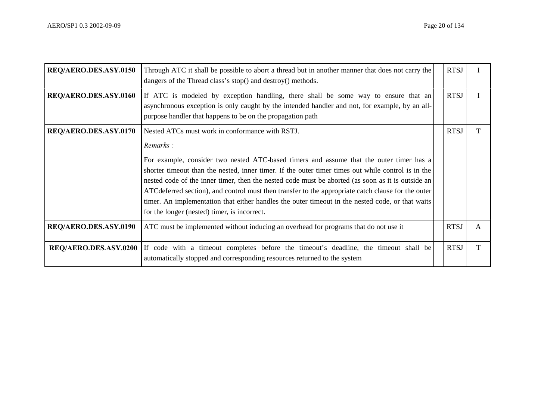| REQ/AERO.DES.ASY.0150 | Through ATC it shall be possible to abort a thread but in another manner that does not carry the<br>dangers of the Thread class's stop() and destroy() methods.                                                                                                                                                                                                                                                                                                                                                                                                                                                              | <b>RTSJ</b> |   |
|-----------------------|------------------------------------------------------------------------------------------------------------------------------------------------------------------------------------------------------------------------------------------------------------------------------------------------------------------------------------------------------------------------------------------------------------------------------------------------------------------------------------------------------------------------------------------------------------------------------------------------------------------------------|-------------|---|
| REQ/AERO.DES.ASY.0160 | If ATC is modeled by exception handling, there shall be some way to ensure that an<br>asynchronous exception is only caught by the intended handler and not, for example, by an all-<br>purpose handler that happens to be on the propagation path                                                                                                                                                                                                                                                                                                                                                                           | <b>RTSJ</b> |   |
| REQ/AERO.DES.ASY.0170 | Nested ATCs must work in conformance with RSTJ.<br>Remarks:<br>For example, consider two nested ATC-based timers and assume that the outer timer has a<br>shorter timeout than the nested, inner timer. If the outer timer times out while control is in the<br>nested code of the inner timer, then the nested code must be aborted (as soon as it is outside an<br>ATC deferred section), and control must then transfer to the appropriate catch clause for the outer<br>timer. An implementation that either handles the outer timeout in the nested code, or that waits<br>for the longer (nested) timer, is incorrect. | <b>RTSJ</b> | T |
| REQ/AERO.DES.ASY.0190 | ATC must be implemented without inducing an overhead for programs that do not use it                                                                                                                                                                                                                                                                                                                                                                                                                                                                                                                                         | <b>RTSJ</b> | A |
| REQ/AERO.DES.ASY.0200 | If code with a timeout completes before the timeout's deadline, the timeout shall be<br>automatically stopped and corresponding resources returned to the system                                                                                                                                                                                                                                                                                                                                                                                                                                                             | <b>RTSJ</b> | T |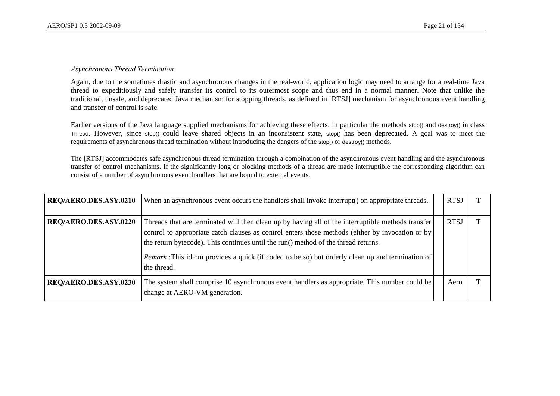#### *Asynchronous Thread Termination*

Again, due to the sometimes drastic and asynchronous changes in the real-world, application logic may need to arrange for a real-time Java thread to expeditiously and safely transfer its control to its outermost scope and thus end in a normal manner. Note that unlike the traditional, unsafe, and deprecated Java mechanism for stopping threads, as defined in [RTSJ] mechanism for asynchronous event handling and transfer of control is safe.

Earlier versions of the Java language supplied mechanisms for achieving these effects: in particular the methods stop() and destroy() in class Thread. However, since stop() could leave shared objects in an inconsistent state, stop() has been deprecated. A goal was to meet the requirements of asynchronous thread termination without introducing the dangers of the stop() or destroy() methods.

The [RTSJ] accommodates safe asynchronous thread termination through a combination of the asynchronous event handling and the asynchronous transfer of control mechanisms. If the significantly long or blocking methods of a thread are made interruptible the corresponding algorithm can consist of a number of asynchronous event handlers that are bound to external events.

| REQ/AERO.DES.ASY.0210 | When an asynchronous event occurs the handlers shall invoke interrupt() on appropriate threads.                                                                                                                                                                                                                                                                                                                        | <b>RTSJ</b> |  |
|-----------------------|------------------------------------------------------------------------------------------------------------------------------------------------------------------------------------------------------------------------------------------------------------------------------------------------------------------------------------------------------------------------------------------------------------------------|-------------|--|
| REQ/AERO.DES.ASY.0220 | Threads that are terminated will then clean up by having all of the interruptible methods transfer<br>control to appropriate catch clauses as control enters those methods (either by invocation or by<br>the return bytecode). This continues until the run() method of the thread returns.<br><i>Remark</i> : This idiom provides a quick (if coded to be so) but orderly clean up and termination of<br>the thread. | RTS.        |  |
| REQ/AERO.DES.ASY.0230 | The system shall comprise 10 asynchronous event handlers as appropriate. This number could be<br>change at AERO-VM generation.                                                                                                                                                                                                                                                                                         | Aero        |  |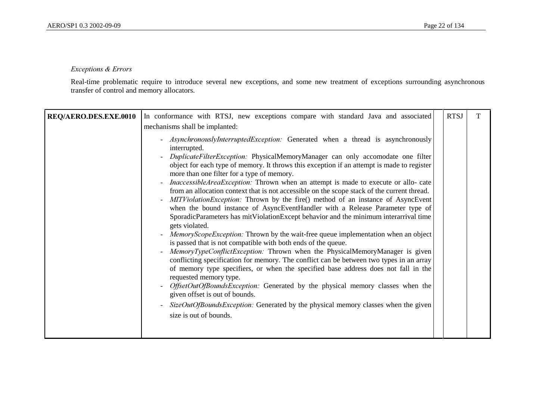#### **Exceptions & Errors**

Real-time problematic require to introduce several new exceptions, and some new treatment of exceptions surrounding asynchronous transfer of control and memory allocators.

|                       | In conformance with RTSJ, new exceptions compare with standard Java and associated                                                                                                                                                                                                                                                                                                                                                                                                                                                                                                                                                                                                                                                                                                                                                                                                                                                                                                                                                                                                                                                                                                                                                                                                                                                                                                                                                                                                                                                                                                                                      | <b>RTSJ</b> | T |
|-----------------------|-------------------------------------------------------------------------------------------------------------------------------------------------------------------------------------------------------------------------------------------------------------------------------------------------------------------------------------------------------------------------------------------------------------------------------------------------------------------------------------------------------------------------------------------------------------------------------------------------------------------------------------------------------------------------------------------------------------------------------------------------------------------------------------------------------------------------------------------------------------------------------------------------------------------------------------------------------------------------------------------------------------------------------------------------------------------------------------------------------------------------------------------------------------------------------------------------------------------------------------------------------------------------------------------------------------------------------------------------------------------------------------------------------------------------------------------------------------------------------------------------------------------------------------------------------------------------------------------------------------------------|-------------|---|
| REQ/AERO.DES.EXE.0010 | mechanisms shall be implanted:<br>- AsynchronouslyInterruptedException: Generated when a thread is asynchronously<br>interrupted.<br>DuplicateFilterException: PhysicalMemoryManager can only accomodate one filter<br>$\overline{\phantom{a}}$<br>object for each type of memory. It throws this exception if an attempt is made to register<br>more than one filter for a type of memory.<br><i>InaccessibleAreaException:</i> Thrown when an attempt is made to execute or allo- cate<br>$\overline{\phantom{a}}$<br>from an allocation context that is not accessible on the scope stack of the current thread.<br>MITViolationException: Thrown by the fire() method of an instance of AsyncEvent<br>$\overline{\phantom{a}}$<br>when the bound instance of AsyncEventHandler with a Release Parameter type of<br>SporadicParameters has mitViolationExcept behavior and the minimum interarrival time<br>gets violated.<br><i>MemoryScopeException:</i> Thrown by the wait-free queue implementation when an object<br>$\overline{\phantom{a}}$<br>is passed that is not compatible with both ends of the queue.<br>MemoryTypeConflictException: Thrown when the PhysicalMemoryManager is given<br>$\overline{\phantom{a}}$<br>conflicting specification for memory. The conflict can be between two types in an array<br>of memory type specifiers, or when the specified base address does not fall in the<br>requested memory type.<br>OffsetOutOfBoundsException: Generated by the physical memory classes when the<br>$\overline{\phantom{a}}$<br>given offset is out of bounds.<br>$\overline{\phantom{a}}$ |             |   |
|                       | $SizeOutOfBoundsException$ : Generated by the physical memory classes when the given<br>size is out of bounds.                                                                                                                                                                                                                                                                                                                                                                                                                                                                                                                                                                                                                                                                                                                                                                                                                                                                                                                                                                                                                                                                                                                                                                                                                                                                                                                                                                                                                                                                                                          |             |   |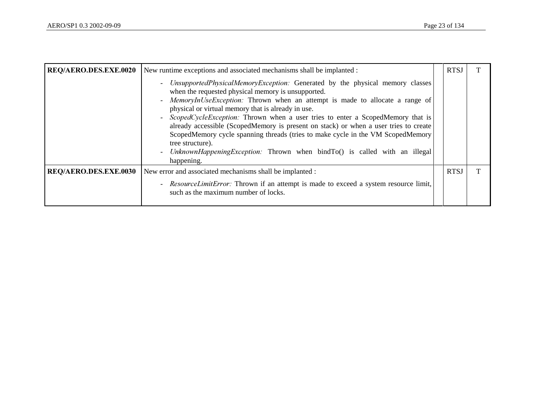| REQ/AERO.DES.EXE.0020 | New runtime exceptions and associated mechanisms shall be implanted :                                                                                                                                                                                                                                                                                                                                                                                                                                                                                                                                                                                     |  | <b>RTSJ</b> |  |
|-----------------------|-----------------------------------------------------------------------------------------------------------------------------------------------------------------------------------------------------------------------------------------------------------------------------------------------------------------------------------------------------------------------------------------------------------------------------------------------------------------------------------------------------------------------------------------------------------------------------------------------------------------------------------------------------------|--|-------------|--|
|                       | UnsupportedPhysicalMemoryException: Generated by the physical memory classes<br>when the requested physical memory is unsupported.<br>- MemoryInUseException: Thrown when an attempt is made to allocate a range of<br>physical or virtual memory that is already in use.<br>- ScopedCycleException: Thrown when a user tries to enter a ScopedMemory that is<br>already accessible (ScopedMemory is present on stack) or when a user tries to create<br>ScopedMemory cycle spanning threads (tries to make cycle in the VM ScopedMemory<br>tree structure).<br>- UnknownHappeningException: Thrown when bindTo() is called with an illegal<br>happening. |  |             |  |
| REQ/AERO.DES.EXE.0030 | New error and associated mechanisms shall be implanted :                                                                                                                                                                                                                                                                                                                                                                                                                                                                                                                                                                                                  |  | <b>RTSJ</b> |  |
|                       | - ResourceLimitError: Thrown if an attempt is made to exceed a system resource limit,<br>such as the maximum number of locks.                                                                                                                                                                                                                                                                                                                                                                                                                                                                                                                             |  |             |  |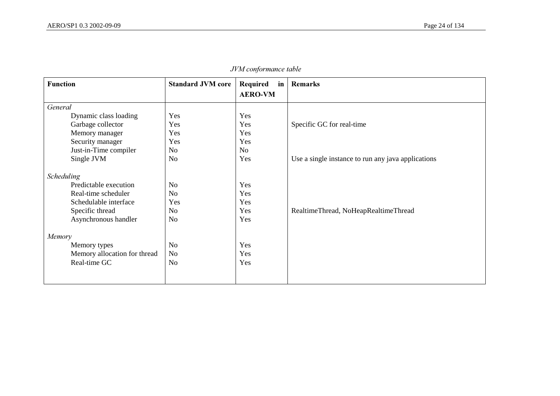| <b>Function</b>              | <b>Standard JVM core</b> | Required<br>in<br><b>AERO-VM</b> | <b>Remarks</b>                                     |
|------------------------------|--------------------------|----------------------------------|----------------------------------------------------|
| General                      |                          |                                  |                                                    |
| Dynamic class loading        | Yes                      | Yes                              |                                                    |
| Garbage collector            | Yes                      | Yes                              | Specific GC for real-time                          |
| Memory manager               | Yes                      | Yes                              |                                                    |
| Security manager             | Yes                      | Yes                              |                                                    |
| Just-in-Time compiler        | N <sub>o</sub>           | N <sub>0</sub>                   |                                                    |
| Single JVM                   | N <sub>o</sub>           | Yes                              | Use a single instance to run any java applications |
| Scheduling                   |                          |                                  |                                                    |
| Predictable execution        | No                       | Yes                              |                                                    |
| Real-time scheduler          | N <sub>o</sub>           | Yes                              |                                                    |
| Schedulable interface        | Yes                      | Yes                              |                                                    |
| Specific thread              | No                       | Yes                              | RealtimeThread, NoHeapRealtimeThread               |
| Asynchronous handler         | No                       | Yes                              |                                                    |
| Memory                       |                          |                                  |                                                    |
| Memory types                 | N <sub>o</sub>           | Yes                              |                                                    |
| Memory allocation for thread | <b>No</b>                | Yes                              |                                                    |
| Real-time GC                 | No                       | Yes                              |                                                    |
|                              |                          |                                  |                                                    |
|                              |                          |                                  |                                                    |

 $JVM$  conformance table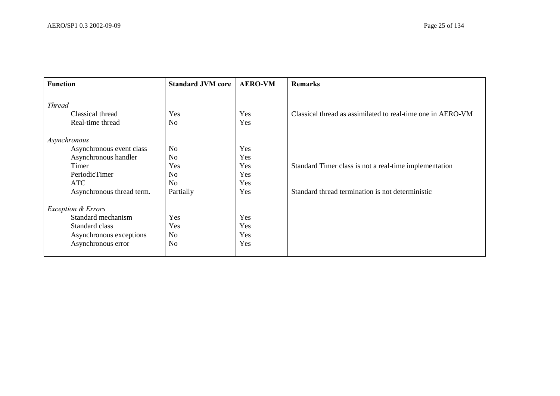| <b>Function</b>                   | <b>Standard JVM core</b> | <b>AERO-VM</b> | <b>Remarks</b>                                              |
|-----------------------------------|--------------------------|----------------|-------------------------------------------------------------|
| <b>Thread</b><br>Classical thread | Yes                      | Yes            | Classical thread as assimilated to real-time one in AERO-VM |
| Real-time thread                  | N <sub>o</sub>           | Yes            |                                                             |
| Asynchronous                      |                          |                |                                                             |
| Asynchronous event class          | No                       | Yes            |                                                             |
| Asynchronous handler              | N <sub>o</sub>           | Yes            |                                                             |
| Timer                             | Yes                      | Yes            | Standard Timer class is not a real-time implementation      |
| PeriodicTimer                     | No                       | Yes            |                                                             |
| <b>ATC</b>                        | N <sub>o</sub>           | Yes            |                                                             |
| Asynchronous thread term.         | Partially                | Yes            | Standard thread termination is not deterministic            |
| <b>Exception &amp; Errors</b>     |                          |                |                                                             |
| Standard mechanism                | Yes                      | Yes            |                                                             |
| Standard class                    | Yes                      | Yes            |                                                             |
| Asynchronous exceptions           | No                       | Yes            |                                                             |
| Asynchronous error                | No                       | Yes            |                                                             |
|                                   |                          |                |                                                             |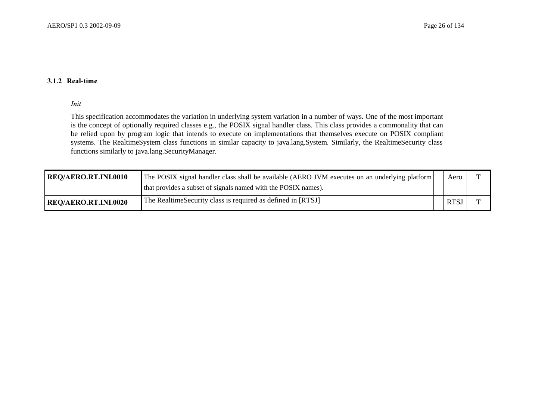#### 3.1.2 Real-time

#### *Init*

This specification accommodates the variation in underlying system variation in a number of ways. One of the most important is the concept of optionally required classes e.g., the POSIX signal handler class. This class provides a commonality that can be relied upon by program logic that intends to execute on implementations that themselves execute on POSIX compliant systems. The RealtimeSystem class functions in similar capacity to java.lang.System. Similarly, the RealtimeSecurity class functions similarly to java.lang.SecurityManager.

| <b>REQ/AERO.RT.INI.0010</b> | The POSIX signal handler class shall be available (AERO JVM executes on an underlying platform) | Aero       |  |
|-----------------------------|-------------------------------------------------------------------------------------------------|------------|--|
|                             | that provides a subset of signals named with the POSIX names).                                  |            |  |
| <b>REQ/AERO.RT.INI.0020</b> | The Realtime Security class is required as defined in [RTSJ]                                    | <b>RTS</b> |  |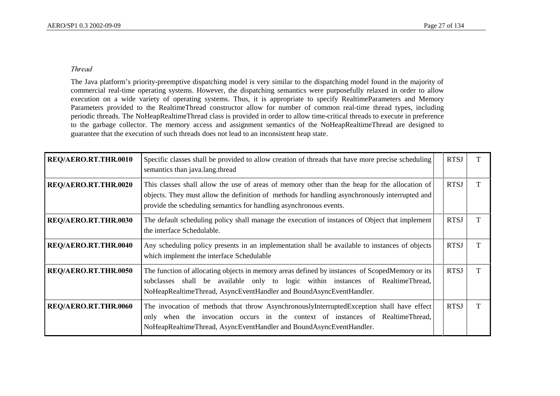### *Thread*

The Java platform's priority-preemptive dispatching model is very similar to the dispatching model found in the majority of commercial real-time operating systems. However, the dispatching semantics were purposefully relaxed in order to allow execution on a wide variety of operating systems. Thus, it is appropriate to specify RealtimeParameters and Memory Parameters provided to the RealtimeThread constructor allow for number of common real-time thread types, including periodic threads. The NoHeapRealtimeThread class is provided in order to allow time-critical threads to execute in preference to the garbage collector. The memory access and assignment semantics of the NoHeapRealtimeThread are designed to guarantee that the execution of such threads does not lead to an inconsistent heap state.

| REQ/AERO.RT.THR.0010 | Specific classes shall be provided to allow creation of threads that have more precise scheduling<br>semantics than java.lang.thread                                                                                                                                  | <b>RTSJ</b> |  |
|----------------------|-----------------------------------------------------------------------------------------------------------------------------------------------------------------------------------------------------------------------------------------------------------------------|-------------|--|
| REQ/AERO.RT.THR.0020 | This classes shall allow the use of areas of memory other than the heap for the allocation of<br>objects. They must allow the definition of methods for handling asynchronously interrupted and<br>provide the scheduling semantics for handling asynchronous events. | <b>RTSJ</b> |  |
| REQ/AERO.RT.THR.0030 | The default scheduling policy shall manage the execution of instances of Object that implement<br>the interface Schedulable.                                                                                                                                          | <b>RTSJ</b> |  |
| REQ/AERO.RT.THR.0040 | Any scheduling policy presents in an implementation shall be available to instances of objects<br>which implement the interface Schedulable                                                                                                                           | <b>RTSJ</b> |  |
| REQ/AERO.RT.THR.0050 | The function of allocating objects in memory areas defined by instances of ScopedMemory or its<br>subclasses shall be available only to logic within instances of RealtimeThread,<br>NoHeapRealtimeThread, AsyncEventHandler and BoundAsyncEventHandler.              | <b>RTSJ</b> |  |
| REQ/AERO.RT.THR.0060 | The invocation of methods that throw AsynchronouslyInterruptedException shall have effect<br>only when the invocation occurs in the context of instances of RealtimeThread,<br>NoHeapRealtimeThread, AsyncEventHandler and BoundAsyncEventHandler.                    | <b>RTSJ</b> |  |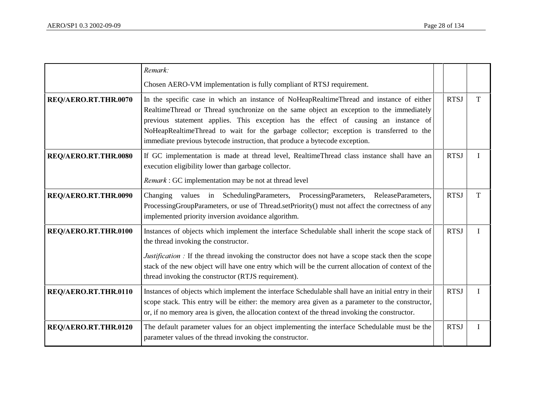|                      | Remark:                                                                                                                                                                                                                                                                                                                                                                                                                                              |             |   |
|----------------------|------------------------------------------------------------------------------------------------------------------------------------------------------------------------------------------------------------------------------------------------------------------------------------------------------------------------------------------------------------------------------------------------------------------------------------------------------|-------------|---|
|                      | Chosen AERO-VM implementation is fully compliant of RTSJ requirement.                                                                                                                                                                                                                                                                                                                                                                                |             |   |
| REQ/AERO.RT.THR.0070 | In the specific case in which an instance of NoHeapRealtimeThread and instance of either<br>RealtimeThread or Thread synchronize on the same object an exception to the immediately<br>previous statement applies. This exception has the effect of causing an instance of<br>NoHeapRealtimeThread to wait for the garbage collector; exception is transferred to the<br>immediate previous bytecode instruction, that produce a bytecode exception. | <b>RTSJ</b> | T |
| REQ/AERO.RT.THR.0080 | If GC implementation is made at thread level, RealtimeThread class instance shall have an<br>execution eligibility lower than garbage collector.                                                                                                                                                                                                                                                                                                     | <b>RTSJ</b> | I |
|                      | Remark : GC implementation may be not at thread level                                                                                                                                                                                                                                                                                                                                                                                                |             |   |
| REQ/AERO.RT.THR.0090 | Changing values in SchedulingParameters, ProcessingParameters, ReleaseParameters,<br>ProcessingGroupParameters, or use of Thread.setPriority() must not affect the correctness of any<br>implemented priority inversion avoidance algorithm.                                                                                                                                                                                                         | <b>RTSJ</b> | T |
| REQ/AERO.RT.THR.0100 | Instances of objects which implement the interface Schedulable shall inherit the scope stack of<br>the thread invoking the constructor.<br><i>Justification</i> : If the thread invoking the constructor does not have a scope stack then the scope<br>stack of the new object will have one entry which will be the current allocation of context of the<br>thread invoking the constructor (RTJS requirement).                                     | <b>RTSJ</b> | I |
| REQ/AERO.RT.THR.0110 | Instances of objects which implement the interface Schedulable shall have an initial entry in their<br>scope stack. This entry will be either: the memory area given as a parameter to the constructor,<br>or, if no memory area is given, the allocation context of the thread invoking the constructor.                                                                                                                                            | <b>RTSJ</b> | I |
| REQ/AERO.RT.THR.0120 | The default parameter values for an object implementing the interface Schedulable must be the<br>parameter values of the thread invoking the constructor.                                                                                                                                                                                                                                                                                            | <b>RTSJ</b> | I |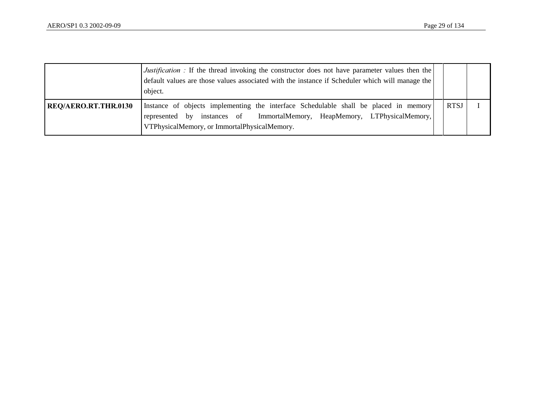|                      | <i>Justification</i> : If the thread invoking the constructor does not have parameter values then the<br>default values are those values associated with the instance if Scheduler which will manage the<br>object. |             |  |
|----------------------|---------------------------------------------------------------------------------------------------------------------------------------------------------------------------------------------------------------------|-------------|--|
| REQ/AERO.RT.THR.0130 | Instance of objects implementing the interface Schedulable shall be placed in memory<br>represented by instances of ImmortalMemory, HeapMemory, LTPhysicalMemory,<br>VTPhysicalMemory, or ImmortalPhysicalMemory.   | <b>RTSJ</b> |  |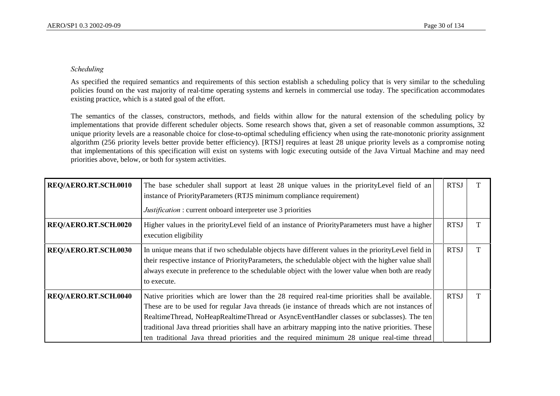#### *Scheduling*

As specified the required semantics and requirements of this section establish a scheduling policy that is very similar to the scheduling policies found on the vast majority of real-time operating systems and kernels in commercial use today. The specification accommodates existing practice, which is a stated goal of the effort.

The semantics of the classes, constructors, methods, and fields within allow for the natural extension of the scheduling policy by implementations that provide different scheduler objects. Some research shows that, given a set of reasonable common assumptions, 32 unique priority levels are a reasonable choice for close-to-optimal scheduling efficiency when using the rate-monotonic priority assignment algorithm (256 priority levels better provide better efficiency). [RTSJ] requires at least 28 unique priority levels as a compromise noting that implementations of this specification will exist on systems with logic executing outside of the Java Virtual Machine and may need priorities above, below, or both for system activities.

| REQ/AERO.RT.SCH.0010 | The base scheduler shall support at least 28 unique values in the priority Level field of an<br>instance of PriorityParameters (RTJS minimum compliance requirement)                                                                                                                                                                                                                                                                                                                                   | <b>RTSJ</b> |  |
|----------------------|--------------------------------------------------------------------------------------------------------------------------------------------------------------------------------------------------------------------------------------------------------------------------------------------------------------------------------------------------------------------------------------------------------------------------------------------------------------------------------------------------------|-------------|--|
|                      | <i>Justification</i> : current onboard interpreter use 3 priorities                                                                                                                                                                                                                                                                                                                                                                                                                                    |             |  |
| REQ/AERO.RT.SCH.0020 | Higher values in the priority Level field of an instance of Priority Parameters must have a higher<br>execution eligibility                                                                                                                                                                                                                                                                                                                                                                            | <b>RTSJ</b> |  |
| REQ/AERO.RT.SCH.0030 | In unique means that if two schedulable objects have different values in the priorityLevel field in<br>their respective instance of PriorityParameters, the schedulable object with the higher value shall<br>always execute in preference to the schedulable object with the lower value when both are ready<br>to execute.                                                                                                                                                                           | <b>RTSJ</b> |  |
| REQ/AERO.RT.SCH.0040 | Native priorities which are lower than the 28 required real-time priorities shall be available.<br>These are to be used for regular Java threads (ie instance of threads which are not instances of<br>RealtimeThread, NoHeapRealtimeThread or AsyncEventHandler classes or subclasses). The ten<br>traditional Java thread priorities shall have an arbitrary mapping into the native priorities. These<br>ten traditional Java thread priorities and the required minimum 28 unique real-time thread | <b>RTSJ</b> |  |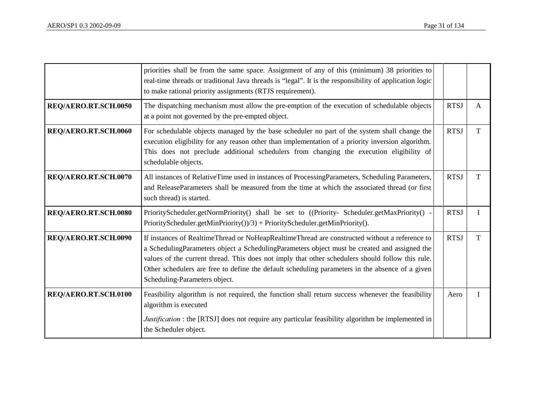|                      | priorities shall be from the same space. Assignment of any of this (minimum) 38 priorities to<br>real-time threads or traditional Java threads is "legal". It is the responsibility of application logic<br>to make rational priority assignments (RTJS requirement).                                                                                                                                                                 |             |   |
|----------------------|---------------------------------------------------------------------------------------------------------------------------------------------------------------------------------------------------------------------------------------------------------------------------------------------------------------------------------------------------------------------------------------------------------------------------------------|-------------|---|
| REQ/AERO.RT.SCH.0050 | The dispatching mechanism must allow the pre-emption of the execution of schedulable objects<br>at a point not governed by the pre-empted object.                                                                                                                                                                                                                                                                                     | <b>RTSJ</b> | A |
| REQ/AERO.RT.SCH.0060 | For schedulable objects managed by the base scheduler no part of the system shall change the<br>execution eligibility for any reason other than implementation of a priority inversion algorithm.<br>This does not preclude additional schedulers from changing the execution eligibility of<br>schedulable objects.                                                                                                                  | <b>RTSJ</b> | T |
| REQ/AERO.RT.SCH.0070 | All instances of RelativeTime used in instances of ProcessingParameters, Scheduling Parameters,<br>and ReleaseParameters shall be measured from the time at which the associated thread (or first<br>such thread) is started.                                                                                                                                                                                                         | <b>RTSJ</b> | T |
| REQ/AERO.RT.SCH.0080 | PriorityScheduler.getNormPriority() shall be set to ((Priority-Scheduler.getMaxPriority() -<br>PriorityScheduler.getMinPriority $()$ /3) + PriorityScheduler.getMinPriority $()$ .                                                                                                                                                                                                                                                    | <b>RTSJ</b> | L |
| REQ/AERO.RT.SCH.0090 | If instances of RealtimeThread or NoHeapRealtimeThread are constructed without a reference to<br>a SchedulingParameters object a SchedulingParameters object must be created and assigned the<br>values of the current thread. This does not imply that other schedulers should follow this rule.<br>Other schedulers are free to define the default scheduling parameters in the absence of a given<br>Scheduling-Parameters object. | <b>RTSJ</b> | T |
| REQ/AERO.RT.SCH.0100 | Feasibility algorithm is not required, the function shall return success whenever the feasibility<br>algorithm is executed<br><i>Justification</i> : the [RTSJ] does not require any particular feasibility algorithm be implemented in<br>the Scheduler object.                                                                                                                                                                      | Aero        | I |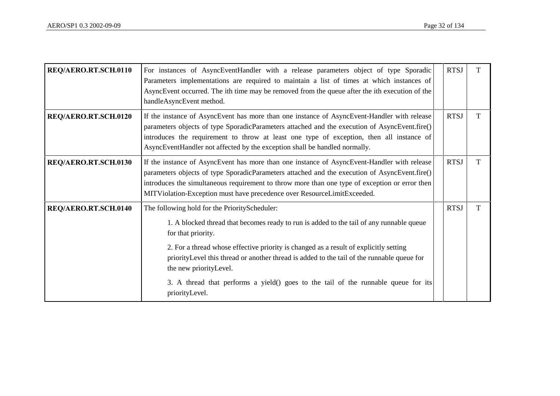| REQ/AERO.RT.SCH.0110 | For instances of AsyncEventHandler with a release parameters object of type Sporadic<br>Parameters implementations are required to maintain a list of times at which instances of<br>AsyncEvent occurred. The ith time may be removed from the queue after the ith execution of the<br>handleAsyncEvent method.                                                                                                                                                                           | <b>RTSJ</b> | т |
|----------------------|-------------------------------------------------------------------------------------------------------------------------------------------------------------------------------------------------------------------------------------------------------------------------------------------------------------------------------------------------------------------------------------------------------------------------------------------------------------------------------------------|-------------|---|
| REQ/AERO.RT.SCH.0120 | If the instance of AsyncEvent has more than one instance of AsyncEvent-Handler with release<br>parameters objects of type SporadicParameters attached and the execution of AsyncEvent.fire()<br>introduces the requirement to throw at least one type of exception, then all instance of<br>AsyncEventHandler not affected by the exception shall be handled normally.                                                                                                                    | <b>RTSJ</b> | T |
| REQ/AERO.RT.SCH.0130 | If the instance of AsyncEvent has more than one instance of AsyncEvent-Handler with release<br>parameters objects of type SporadicParameters attached and the execution of AsyncEvent.fire()<br>introduces the simultaneous requirement to throw more than one type of exception or error then<br>MITViolation-Exception must have precedence over ResourceLimitExceeded.                                                                                                                 | <b>RTSJ</b> | T |
| REQ/AERO.RT.SCH.0140 | The following hold for the PriorityScheduler:<br>1. A blocked thread that becomes ready to run is added to the tail of any runnable queue<br>for that priority.<br>2. For a thread whose effective priority is changed as a result of explicitly setting<br>priorityLevel this thread or another thread is added to the tail of the runnable queue for<br>the new priority Level.<br>3. A thread that performs a yield() goes to the tail of the runnable queue for its<br>priorityLevel. | <b>RTSJ</b> | T |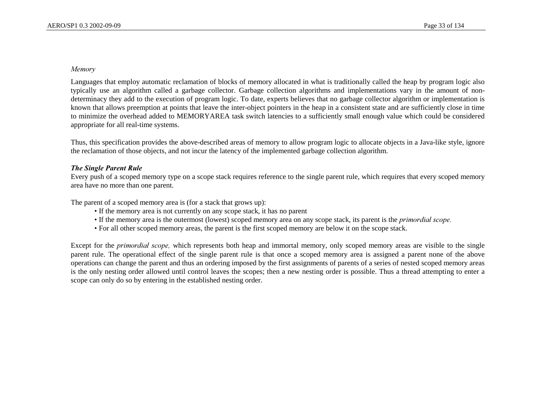#### *Memory*

Languages that employ automatic reclamation of blocks of memory allocated in what is traditionally called the heap by program logic also typically use an algorithm called a garbage collector. Garbage collection algorithms and implementations vary in the amount of nondeterminacy they add to the execution of program logic. To date, experts believes that no garbage collector algorithm or implementation is known that allows preemption at points that leave the inter-object pointers in the heap in a consistent state and are sufficiently close in time to minimize the overhead added to MEMORYAREA task switch latencies to a sufficiently small enough value which could be considered appropriate for all real-time systems.

Thus, this specification provides the above-described areas of memory to allow program logic to allocate objects in a Java-like style, ignore the reclamation of those objects, and not incur the latency of the implemented garbage collection algorithm.

#### *The Single Parent Rule*

Every push of a scoped memory type on a scope stack requires reference to the single parent rule, which requires that every scoped memory area have no more than one parent.

The parent of a scoped memory area is (for a stack that grows up):

- If the memory area is not currently on any scope stack, it has no parent
- If the memory area is the outermost (lowest) scoped memory area on any scope stack, its parent is the *primordial scope*.
- For all other scoped memory areas, the parent is the first scoped memory are below it on the scope stack.

Except for the *primordial scope*, which represents both heap and immortal memory, only scoped memory areas are visible to the single parent rule. The operational effect of the single parent rule is that once a scoped memory area is assigned a parent none of the above operations can change the parent and thus an ordering imposed by the first assignments of parents of a series of nested scoped memory areas is the only nesting order allowed until control leaves the scopes; then a new nesting order is possible. Thus a thread attempting to enter a scope can only do so by entering in the established nesting order.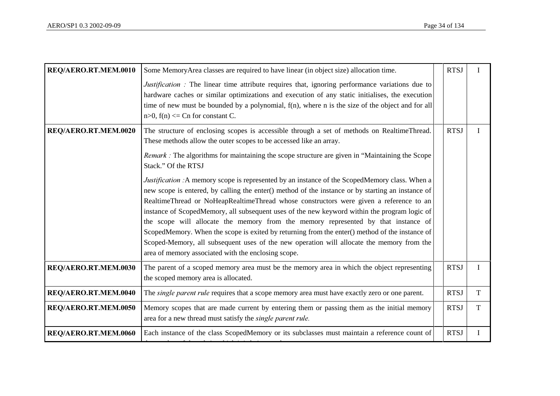| REQ/AERO.RT.MEM.0010 | Some MemoryArea classes are required to have linear (in object size) allocation time.                                                                                                                                                                                                                                                                                                                                                                                                                                                                                                                                                                                                                                                            | <b>RTSJ</b> |   |
|----------------------|--------------------------------------------------------------------------------------------------------------------------------------------------------------------------------------------------------------------------------------------------------------------------------------------------------------------------------------------------------------------------------------------------------------------------------------------------------------------------------------------------------------------------------------------------------------------------------------------------------------------------------------------------------------------------------------------------------------------------------------------------|-------------|---|
|                      | <i>Justification</i> : The linear time attribute requires that, ignoring performance variations due to<br>hardware caches or similar optimizations and execution of any static initialises, the execution<br>time of new must be bounded by a polynomial, $f(n)$ , where n is the size of the object and for all<br>$n>0$ , $f(n) \leq Cn$ for constant C.                                                                                                                                                                                                                                                                                                                                                                                       |             |   |
| REQ/AERO.RT.MEM.0020 | The structure of enclosing scopes is accessible through a set of methods on RealtimeThread.<br>These methods allow the outer scopes to be accessed like an array.                                                                                                                                                                                                                                                                                                                                                                                                                                                                                                                                                                                | <b>RTSJ</b> |   |
|                      | <i>Remark</i> : The algorithms for maintaining the scope structure are given in "Maintaining the Scope"<br>Stack." Of the RTSJ                                                                                                                                                                                                                                                                                                                                                                                                                                                                                                                                                                                                                   |             |   |
|                      | <i>Justification</i> : A memory scope is represented by an instance of the ScopedMemory class. When a<br>new scope is entered, by calling the enter() method of the instance or by starting an instance of<br>RealtimeThread or NoHeapRealtimeThread whose constructors were given a reference to an<br>instance of ScopedMemory, all subsequent uses of the new keyword within the program logic of<br>the scope will allocate the memory from the memory represented by that instance of<br>ScopedMemory. When the scope is exited by returning from the enter() method of the instance of<br>Scoped-Memory, all subsequent uses of the new operation will allocate the memory from the<br>area of memory associated with the enclosing scope. |             |   |
| REQ/AERO.RT.MEM.0030 | The parent of a scoped memory area must be the memory area in which the object representing<br>the scoped memory area is allocated.                                                                                                                                                                                                                                                                                                                                                                                                                                                                                                                                                                                                              | <b>RTSJ</b> | T |
| REQ/AERO.RT.MEM.0040 | The <i>single parent rule</i> requires that a scope memory area must have exactly zero or one parent.                                                                                                                                                                                                                                                                                                                                                                                                                                                                                                                                                                                                                                            | <b>RTSJ</b> | T |
| REQ/AERO.RT.MEM.0050 | Memory scopes that are made current by entering them or passing them as the initial memory<br>area for a new thread must satisfy the single parent rule.                                                                                                                                                                                                                                                                                                                                                                                                                                                                                                                                                                                         | <b>RTSJ</b> | T |
| REQ/AERO.RT.MEM.0060 | Each instance of the class ScopedMemory or its subclasses must maintain a reference count of                                                                                                                                                                                                                                                                                                                                                                                                                                                                                                                                                                                                                                                     | <b>RTSJ</b> |   |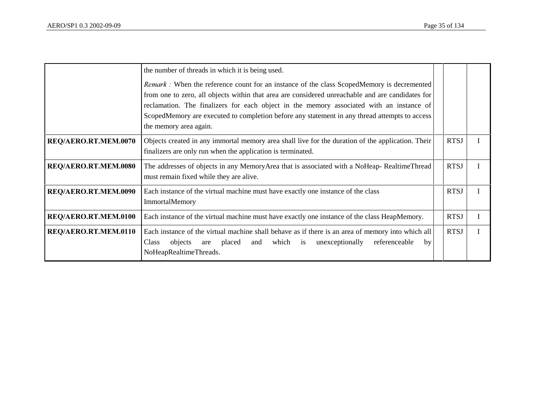|                      | the number of threads in which it is being used.<br>Remark : When the reference count for an instance of the class ScopedMemory is decremented<br>from one to zero, all objects within that area are considered unreachable and are candidates for<br>reclamation. The finalizers for each object in the memory associated with an instance of<br>ScopedMemory are executed to completion before any statement in any thread attempts to access<br>the memory area again. |             |   |
|----------------------|---------------------------------------------------------------------------------------------------------------------------------------------------------------------------------------------------------------------------------------------------------------------------------------------------------------------------------------------------------------------------------------------------------------------------------------------------------------------------|-------------|---|
| REQ/AERO.RT.MEM.0070 | Objects created in any immortal memory area shall live for the duration of the application. Their<br>finalizers are only run when the application is terminated.                                                                                                                                                                                                                                                                                                          | <b>RTSJ</b> |   |
| REQ/AERO.RT.MEM.0080 | The addresses of objects in any MemoryArea that is associated with a NoHeap-RealtimeThread<br>must remain fixed while they are alive.                                                                                                                                                                                                                                                                                                                                     | <b>RTSJ</b> | I |
| REQ/AERO.RT.MEM.0090 | Each instance of the virtual machine must have exactly one instance of the class<br><b>ImmortalMemory</b>                                                                                                                                                                                                                                                                                                                                                                 | <b>RTSJ</b> |   |
| REQ/AERO.RT.MEM.0100 | Each instance of the virtual machine must have exactly one instance of the class HeapMemory.                                                                                                                                                                                                                                                                                                                                                                              | <b>RTSJ</b> |   |
| REQ/AERO.RT.MEM.0110 | Each instance of the virtual machine shall behave as if there is an area of memory into which all<br>placed and which is unexceptionally<br><b>Class</b><br>objects<br>referenceable<br>by<br>are<br>NoHeapRealtimeThreads.                                                                                                                                                                                                                                               | <b>RTSJ</b> | I |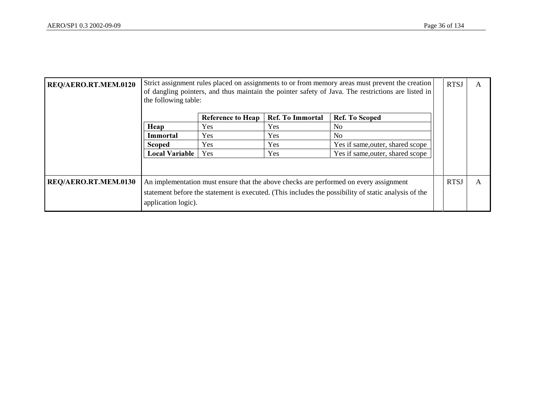| REQ/AERO.RT.MEM.0120 |                       | Strict assignment rules placed on assignments to or from memory areas must prevent the creation<br>of dangling pointers, and thus maintain the pointer safety of Java. The restrictions are listed in<br>the following table: |                         |                                                                                                      |  | <b>RTSJ</b> |   |
|----------------------|-----------------------|-------------------------------------------------------------------------------------------------------------------------------------------------------------------------------------------------------------------------------|-------------------------|------------------------------------------------------------------------------------------------------|--|-------------|---|
|                      |                       | <b>Reference to Heap</b>                                                                                                                                                                                                      | <b>Ref. To Immortal</b> | <b>Ref. To Scoped</b>                                                                                |  |             |   |
|                      | Heap                  | <b>Yes</b>                                                                                                                                                                                                                    | <b>Yes</b>              | No                                                                                                   |  |             |   |
|                      | Immortal              | Yes                                                                                                                                                                                                                           | Yes                     | No.                                                                                                  |  |             |   |
|                      | <b>Scoped</b>         | <b>Yes</b>                                                                                                                                                                                                                    | Yes                     | Yes if same, outer, shared scope                                                                     |  |             |   |
|                      | <b>Local Variable</b> | Yes                                                                                                                                                                                                                           | Yes                     | Yes if same, outer, shared scope                                                                     |  |             |   |
|                      |                       |                                                                                                                                                                                                                               |                         |                                                                                                      |  |             |   |
| REQ/AERO.RT.MEM.0130 |                       |                                                                                                                                                                                                                               |                         | An implementation must ensure that the above checks are performed on every assignment                |  | <b>RTSJ</b> | A |
|                      | application logic).   |                                                                                                                                                                                                                               |                         | statement before the statement is executed. (This includes the possibility of static analysis of the |  |             |   |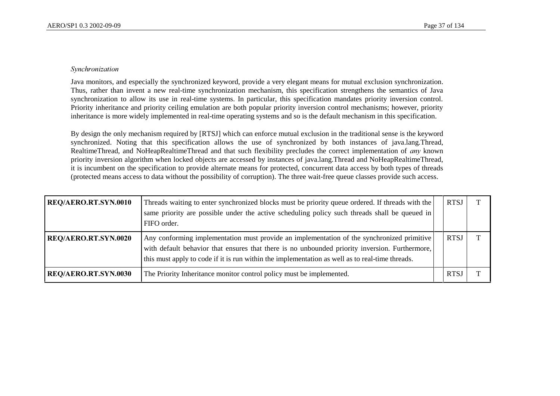#### $S$ *vnchronization*

Java monitors, and especially the synchronized keyword, provide a very elegant means for mutual exclusion synchronization. Thus, rather than invent a new real-time synchronization mechanism, this specification strengthens the semantics of Java synchronization to allow its use in real-time systems. In particular, this specification mandates priority inversion control. Priority inheritance and priority ceiling emulation are both popular priority inversion control mechanisms; however, priority inheritance is more widely implemented in real-time operating systems and so is the default mechanism in this specification.

By design the only mechanism required by [RTSJ] which can enforce mutual exclusion in the traditional sense is the keyword synchronized. Noting that this specification allows the use of synchronized by both instances of java.lang.Thread, RealtimeThread, and NoHeapRealtimeThread and that such flexibility precludes the correct implementation of *any* known priority inversion algorithm when locked objects are accessed by instances of java.lang.Thread and NoHeapRealtimeThread, it is incumbent on the specification to provide alternate means for protected, concurrent data access by both types of threads (protected means access to data without the possibility of corruption). The three wait-free queue classes provide such access.

| <b>REQ/AERO.RT.SYN.0010</b> | Threads waiting to enter synchronized blocks must be priority queue ordered. If threads with the<br>same priority are possible under the active scheduling policy such threads shall be queued in<br>FIFO order.                                                                                | <b>RTSJ</b> |  |
|-----------------------------|-------------------------------------------------------------------------------------------------------------------------------------------------------------------------------------------------------------------------------------------------------------------------------------------------|-------------|--|
| REQ/AERO.RT.SYN.0020        | Any conforming implementation must provide an implementation of the synchronized primitive<br>with default behavior that ensures that there is no unbounded priority inversion. Furthermore,<br>this must apply to code if it is run within the implementation as well as to real-time threads. | <b>RTSJ</b> |  |
| REQ/AERO.RT.SYN.0030        | The Priority Inheritance monitor control policy must be implemented.                                                                                                                                                                                                                            | RTS.        |  |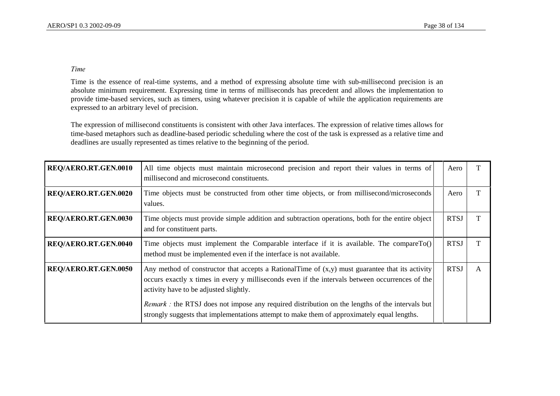## *Time*

Time is the essence of real-time systems, and a method of expressing absolute time with sub-millisecond precision is an absolute minimum requirement. Expressing time in terms of milliseconds has precedent and allows the implementation to provide time-based services, such as timers, using whatever precision it is capable of while the application requirements are expressed to an arbitrary level of precision.

The expression of millisecond constituents is consistent with other Java interfaces. The expression of relative times allows for time-based metaphors such as deadline-based periodic scheduling where the cost of the task is expressed as a relative time and deadlines are usually represented as times relative to the beginning of the period.

| REQ/AERO.RT.GEN.0010 | All time objects must maintain microsecond precision and report their values in terms of<br>millisecond and microsecond constituents.                                                                                                          | Aero        |   |
|----------------------|------------------------------------------------------------------------------------------------------------------------------------------------------------------------------------------------------------------------------------------------|-------------|---|
| REQ/AERO.RT.GEN.0020 | Time objects must be constructed from other time objects, or from millisecond/microseconds<br>values.                                                                                                                                          | Aero        |   |
| REQ/AERO.RT.GEN.0030 | Time objects must provide simple addition and subtraction operations, both for the entire object<br>and for constituent parts.                                                                                                                 | <b>RTSJ</b> |   |
| REQ/AERO.RT.GEN.0040 | Time objects must implement the Comparable interface if it is available. The compare $To()$<br>method must be implemented even if the interface is not available.                                                                              | <b>RTSJ</b> |   |
| REQ/AERO.RT.GEN.0050 | Any method of constructor that accepts a RationalTime of $(x,y)$ must guarantee that its activity<br>occurs exactly x times in every y milliseconds even if the intervals between occurrences of the<br>activity have to be adjusted slightly. | <b>RTSJ</b> | A |
|                      | Remark : the RTSJ does not impose any required distribution on the lengths of the intervals but<br>strongly suggests that implementations attempt to make them of approximately equal lengths.                                                 |             |   |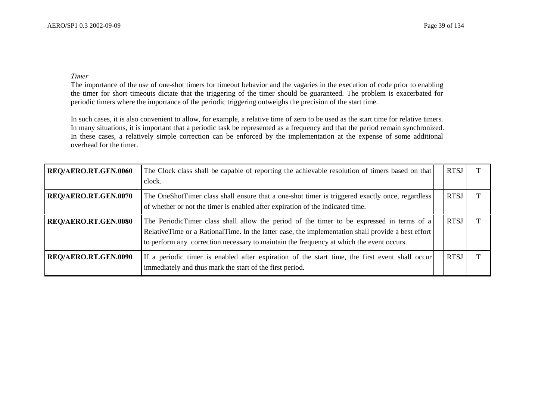#### *Timer*

The importance of the use of one-shot timers for timeout behavior and the vagaries in the execution of code prior to enabling the timer for short timeouts dictate that the triggering of the timer should be guaranteed. The problem is exacerbated for periodic timers where the importance of the periodic triggering outweighs the precision of the start time.

In such cases, it is also convenient to allow, for example, a relative time of zero to be used as the start time for relative timers. In many situations, it is important that a periodic task be represented as a frequency and that the period remain synchronized. In these cases, a relatively simple correction can be enforced by the implementation at the expense of some additional overhead for the timer.

| REQ/AERO.RT.GEN.0060 | The Clock class shall be capable of reporting the achievable resolution of timers based on that<br>clock.                                                                                                                                                                                   | <b>RTSJ</b> |  |
|----------------------|---------------------------------------------------------------------------------------------------------------------------------------------------------------------------------------------------------------------------------------------------------------------------------------------|-------------|--|
| REQ/AERO.RT.GEN.0070 | The OneShotTimer class shall ensure that a one-shot timer is triggered exactly once, regardless<br>of whether or not the timer is enabled after expiration of the indicated time.                                                                                                           | <b>RTSJ</b> |  |
| REQ/AERO.RT.GEN.0080 | The PeriodicTimer class shall allow the period of the timer to be expressed in terms of a<br>RelativeTime or a RationalTime. In the latter case, the implementation shall provide a best effort<br>to perform any correction necessary to maintain the frequency at which the event occurs. | <b>RTSJ</b> |  |
| REQ/AERO.RT.GEN.0090 | If a periodic timer is enabled after expiration of the start time, the first event shall occur<br>immediately and thus mark the start of the first period.                                                                                                                                  | <b>RTSJ</b> |  |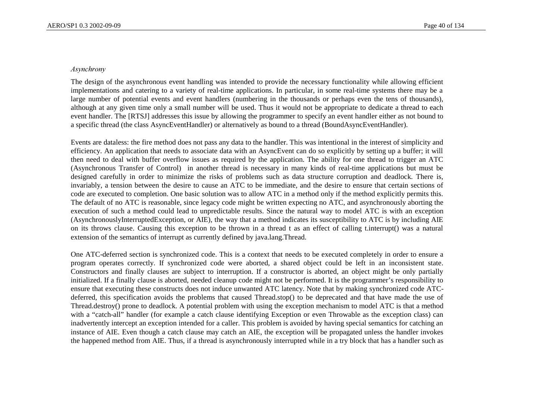#### $A$ synchrony

The design of the asynchronous event handling was intended to provide the necessary functionality while allowing efficient implementations and catering to a variety of real-time applications. In particular, in some real-time systems there may be a large number of potential events and event handlers (numbering in the thousands or perhaps even the tens of thousands), although at any given time only a small number will be used. Thus it would not be appropriate to dedicate a thread to each event handler. The [RTSJ] addresses this issue by allowing the programmer to specify an event handler either as not bound to a specific thread (the class AsyncEventHandler) or alternatively as bound to a thread (BoundAsyncEventHandler).

Events are dataless: the fire method does not pass any data to the handler. This was intentional in the interest of simplicity and efficiency. An application that needs to associate data with an AsyncEvent can do so explicitly by setting up a buffer; it will then need to deal with buffer overflow issues as required by the application. The ability for one thread to trigger an ATC (Asynchronous Transfer of Control) in another thread is necessary in many kinds of real-time applications but must be designed carefully in order to minimize the risks of problems such as data structure corruption and deadlock. There is, invariably, a tension between the desire to cause an ATC to be immediate, and the desire to ensure that certain sections of code are executed to completion. One basic solution was to allow ATC in a method only if the method explicitly permits this. The default of no ATC is reasonable, since legacy code might be written expecting no ATC, and asynchronously aborting the execution of such a method could lead to unpredictable results. Since the natural way to model ATC is with an exception (AsynchronouslyInterruptedException, or AIE), the way that a method indicates its susceptibility to ATC is by including AIE on its throws clause. Causing this exception to be thrown in a thread t as an effect of calling t.interrupt() was a natural extension of the semantics of interrupt as currently defined by java.lang.Thread.

One ATC-deferred section is synchronized code. This is a context that needs to be executed completely in order to ensure a program operates correctly. If synchronized code were aborted, a shared object could be left in an inconsistent state. Constructors and finally clauses are subject to interruption. If a constructor is aborted, an object might be only partially initialized. If a finally clause is aborted, needed cleanup code might not be performed. It is the programmer's responsibility to ensure that executing these constructs does not induce unwanted ATC latency. Note that by making synchronized code ATCdeferred, this specification avoids the problems that caused Thread.stop() to be deprecated and that have made the use of Thread.destroy() prone to deadlock. A potential problem with using the exception mechanism to model ATC is that a method with a "catch-all" handler (for example a catch clause identifying Exception or even Throwable as the exception class) can inadvertently intercept an exception intended for a caller. This problem is avoided by having special semantics for catching an instance of AIE. Even though a catch clause may catch an AIE, the exception will be propagated unless the handler invokes the happened method from AIE. Thus, if a thread is asynchronously interrupted while in a try block that has a handler such as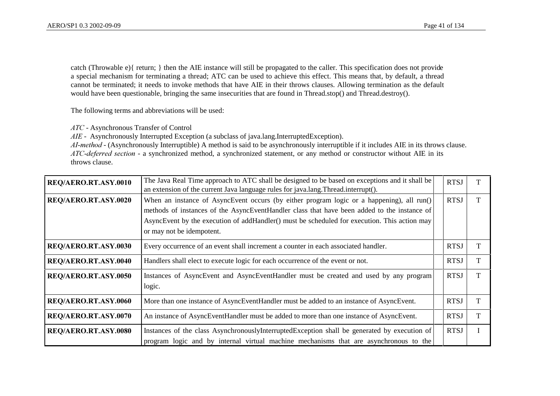catch (Throwable e){ return; } then the AIE instance will still be propagated to the caller. This specification does not provide a special mechanism for terminating a thread; ATC can be used to achieve this effect. This means that, by default, a thread cannot be terminated; it needs to invoke methods that have AIE in their throws clauses. Allowing termination as the default would have been questionable, bringing the same insecurities that are found in Thread.stop() and Thread.destroy().

The following terms and abbreviations will be used:

*\$7&*- Asynchronous Transfer of Control

*AIE* - Asynchronously Interrupted Exception (a subclass of java.lang.InterruptedException).

*AI-method* - (Asynchronously Interruptible) A method is said to be asynchronously interruptible if it includes AIE in its throws clause. *ATC-deferred section* - a synchronized method, a synchronized statement, or any method or constructor without AIE in its throws clause.

| REQ/AERO.RT.ASY.0010 | The Java Real Time approach to ATC shall be designed to be based on exceptions and it shall be<br>an extension of the current Java language rules for java.lang. Thread.interrupt().                                                                                                                                  | <b>RTSJ</b> |  |
|----------------------|-----------------------------------------------------------------------------------------------------------------------------------------------------------------------------------------------------------------------------------------------------------------------------------------------------------------------|-------------|--|
| REQ/AERO.RT.ASY.0020 | When an instance of AsyncEvent occurs (by either program logic or a happening), all run()<br>methods of instances of the AsyncEventHandler class that have been added to the instance of<br>AsyncEvent by the execution of addHandler() must be scheduled for execution. This action may<br>or may not be idempotent. | <b>RTSJ</b> |  |
| REQ/AERO.RT.ASY.0030 | Every occurrence of an event shall increment a counter in each associated handler.                                                                                                                                                                                                                                    | <b>RTSJ</b> |  |
| REQ/AERO.RT.ASY.0040 | Handlers shall elect to execute logic for each occurrence of the event or not.                                                                                                                                                                                                                                        | <b>RTSJ</b> |  |
| REQ/AERO.RT.ASY.0050 | Instances of AsyncEvent and AsyncEventHandler must be created and used by any program<br>logic.                                                                                                                                                                                                                       | <b>RTSJ</b> |  |
| REQ/AERO.RT.ASY.0060 | More than one instance of AsyncEventHandler must be added to an instance of AsyncEvent.                                                                                                                                                                                                                               | <b>RTSJ</b> |  |
| REQ/AERO.RT.ASY.0070 | An instance of AsyncEventHandler must be added to more than one instance of AsyncEvent.                                                                                                                                                                                                                               | <b>RTSJ</b> |  |
| REQ/AERO.RT.ASY.0080 | Instances of the class AsynchronouslyInterruptedException shall be generated by execution of<br>program logic and by internal virtual machine mechanisms that are asynchronous to the                                                                                                                                 | <b>RTSJ</b> |  |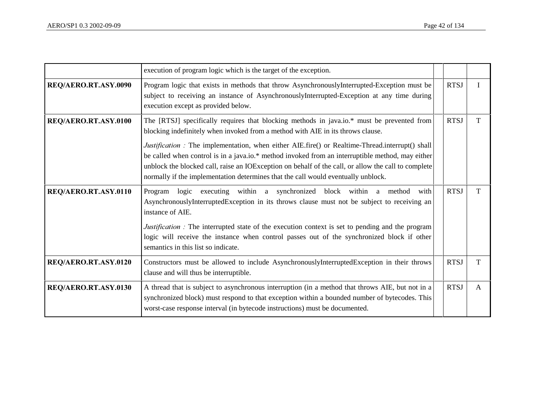|                      | execution of program logic which is the target of the exception.                                                                                                                                                                                                                                                                                                                                                                                                                                                                                                                        |             |   |
|----------------------|-----------------------------------------------------------------------------------------------------------------------------------------------------------------------------------------------------------------------------------------------------------------------------------------------------------------------------------------------------------------------------------------------------------------------------------------------------------------------------------------------------------------------------------------------------------------------------------------|-------------|---|
| REQ/AERO.RT.ASY.0090 | Program logic that exists in methods that throw AsynchronouslyInterrupted-Exception must be<br>subject to receiving an instance of AsynchronouslyInterrupted-Exception at any time during<br>execution except as provided below.                                                                                                                                                                                                                                                                                                                                                        | <b>RTSJ</b> | I |
| REQ/AERO.RT.ASY.0100 | The [RTSJ] specifically requires that blocking methods in java.io.* must be prevented from<br>blocking indefinitely when invoked from a method with AIE in its throws clause.<br><i>Justification</i> : The implementation, when either AIE.fire() or Realtime-Thread.interrupt() shall<br>be called when control is in a java.io.* method invoked from an interruptible method, may either<br>unblock the blocked call, raise an IOException on behalf of the call, or allow the call to complete<br>normally if the implementation determines that the call would eventually unblock. | <b>RTSJ</b> | T |
| REQ/AERO.RT.ASY.0110 | Program logic executing within a synchronized block within a method with<br>AsynchronouslyInterruptedException in its throws clause must not be subject to receiving an<br>instance of AIE.<br><i>Justification</i> : The interrupted state of the execution context is set to pending and the program<br>logic will receive the instance when control passes out of the synchronized block if other<br>semantics in this list so indicate.                                                                                                                                             | <b>RTSJ</b> | T |
| REQ/AERO.RT.ASY.0120 | Constructors must be allowed to include AsynchronouslyInterruptedException in their throws<br>clause and will thus be interruptible.                                                                                                                                                                                                                                                                                                                                                                                                                                                    | <b>RTSJ</b> | T |
| REQ/AERO.RT.ASY.0130 | A thread that is subject to asynchronous interruption (in a method that throws AIE, but not in a<br>synchronized block) must respond to that exception within a bounded number of bytecodes. This<br>worst-case response interval (in bytecode instructions) must be documented.                                                                                                                                                                                                                                                                                                        | <b>RTSJ</b> | A |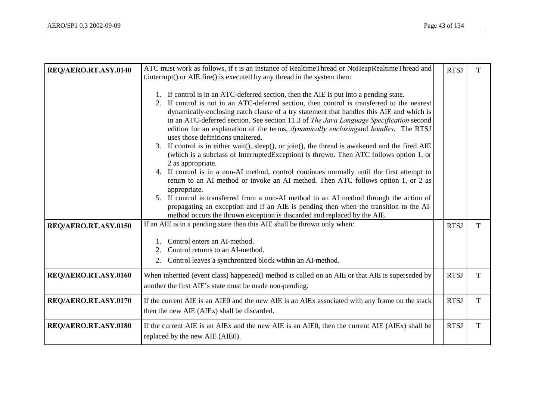| REQ/AERO.RT.ASY.0140 | ATC must work as follows, if t is an instance of RealtimeThread or NoHeapRealtimeThread and<br>t.interrupt() or AIE.fire() is executed by any thread in the system then:<br>1. If control is in an ATC-deferred section, then the AIE is put into a pending state.<br>2. If control is not in an ATC-deferred section, then control is transferred to the nearest<br>dynamically-enclosing catch clause of a try statement that handles this AIE and which is<br>in an ATC-deferred section. See section 11.3 of The Java Language Specification second<br>edition for an explanation of the terms, <i>dynamically enclosingand handles</i> . The RTSJ<br>uses those definitions unaltered.<br>3. If control is in either wait(), sleep(), or join(), the thread is awakened and the fired AIE<br>(which is a subclass of InterruptedException) is thrown. Then ATC follows option 1, or<br>2 as appropriate.<br>4. If control is in a non-AI method, control continues normally until the first attempt to<br>return to an AI method or invoke an AI method. Then ATC follows option 1, or 2 as<br>appropriate. | <b>RTSJ</b> | T           |
|----------------------|------------------------------------------------------------------------------------------------------------------------------------------------------------------------------------------------------------------------------------------------------------------------------------------------------------------------------------------------------------------------------------------------------------------------------------------------------------------------------------------------------------------------------------------------------------------------------------------------------------------------------------------------------------------------------------------------------------------------------------------------------------------------------------------------------------------------------------------------------------------------------------------------------------------------------------------------------------------------------------------------------------------------------------------------------------------------------------------------------------------|-------------|-------------|
|                      | 5. If control is transferred from a non-AI method to an AI method through the action of<br>propagating an exception and if an AIE is pending then when the transition to the AI-<br>method occurs the thrown exception is discarded and replaced by the AIE.                                                                                                                                                                                                                                                                                                                                                                                                                                                                                                                                                                                                                                                                                                                                                                                                                                                     |             |             |
| REQ/AERO.RT.ASY.0150 | If an AIE is in a pending state then this AIE shall be thrown only when:<br>Control enters an AI-method.<br>Control returns to an AI-method.<br>2.<br>2.<br>Control leaves a synchronized block within an AI-method.                                                                                                                                                                                                                                                                                                                                                                                                                                                                                                                                                                                                                                                                                                                                                                                                                                                                                             | <b>RTSJ</b> | T           |
| REQ/AERO.RT.ASY.0160 | When inherited (event class) happened() method is called on an AIE or that AIE is superseded by<br>another the first AIE's state must be made non-pending.                                                                                                                                                                                                                                                                                                                                                                                                                                                                                                                                                                                                                                                                                                                                                                                                                                                                                                                                                       | <b>RTSJ</b> | $\mathbf T$ |
| REQ/AERO.RT.ASY.0170 | If the current AIE is an AIEO and the new AIE is an AIEx associated with any frame on the stack<br>then the new AIE (AIEx) shall be discarded.                                                                                                                                                                                                                                                                                                                                                                                                                                                                                                                                                                                                                                                                                                                                                                                                                                                                                                                                                                   | <b>RTSJ</b> | $\mathbf T$ |
| REQ/AERO.RT.ASY.0180 | If the current AIE is an AIEx and the new AIE is an AIE0, then the current AIE (AIEx) shall be<br>replaced by the new AIE (AIE0).                                                                                                                                                                                                                                                                                                                                                                                                                                                                                                                                                                                                                                                                                                                                                                                                                                                                                                                                                                                | <b>RTSJ</b> | $\mathbf T$ |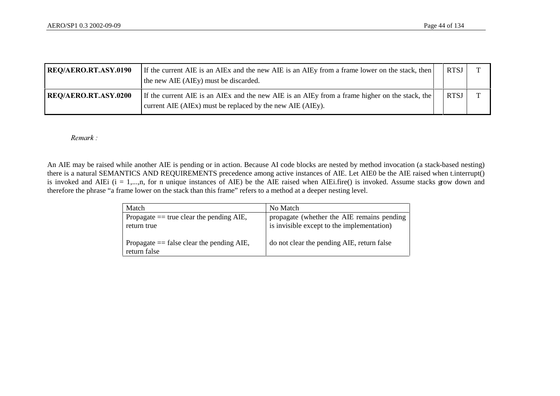| <b>REQ/AERO.RT.ASY.0190</b> | If the current AIE is an AIEx and the new AIE is an AIEy from a frame lower on the stack, then<br>the new AIE (AIEy) must be discarded.                      | <b>RTSJ</b> |  |
|-----------------------------|--------------------------------------------------------------------------------------------------------------------------------------------------------------|-------------|--|
| <b>REQ/AERO.RT.ASY.0200</b> | If the current AIE is an AIEx and the new AIE is an AIEy from a frame higher on the stack, the<br>current AIE (AIEx) must be replaced by the new AIE (AIEy). | <b>RTSJ</b> |  |

*Remark :* 

An AIE may be raised while another AIE is pending or in action. Because AI code blocks are nested by method invocation (a stack-based nesting) there is a natural SEMANTICS AND REQUIREMENTS precedence among active instances of AIE. Let AIE0 be the AIE raised when t.interrupt() is invoked and AIEi ( $i = 1,...,n$ , for n unique instances of AIE) be the AIE raised when AIEi.fire() is invoked. Assume stacks grow down and therefore the phrase "a frame lower on the stack than this frame" refers to a method at a deeper nesting level.

| Match                                                       | No Match                                                                                 |
|-------------------------------------------------------------|------------------------------------------------------------------------------------------|
| Propagate $==$ true clear the pending AIE,<br>return true   | propagate (whether the AIE remains pending<br>is invisible except to the implementation) |
| Propagate $==$ false clear the pending AIE,<br>return false | do not clear the pending AIE, return false                                               |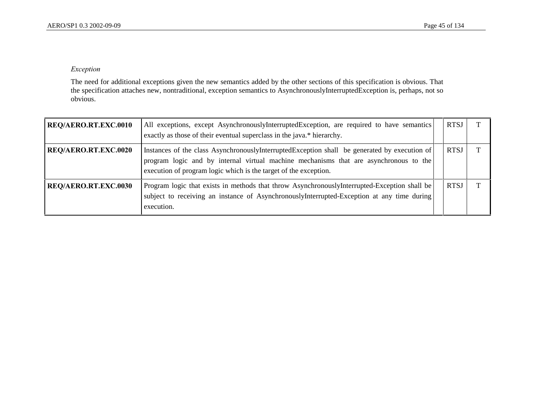## $Exception$

The need for additional exceptions given the new semantics added by the other sections of this specification is obvious. That the specification attaches new, nontraditional, exception semantics to AsynchronouslyInterruptedException is, perhaps, not so obvious.

| REQ/AERO.RT.EXC.0010 | All exceptions, except AsynchronouslyInterruptedException, are required to have semantics<br>exactly as those of their eventual superclass in the java.* hierarchy.                                                                                       | <b>RTSJ</b> |  |
|----------------------|-----------------------------------------------------------------------------------------------------------------------------------------------------------------------------------------------------------------------------------------------------------|-------------|--|
| REQ/AERO.RT.EXC.0020 | Instances of the class AsynchronouslyInterruptedException shall be generated by execution of<br>program logic and by internal virtual machine mechanisms that are asynchronous to the<br>execution of program logic which is the target of the exception. | <b>RTSJ</b> |  |
| REQ/AERO.RT.EXC.0030 | Program logic that exists in methods that throw AsynchronouslyInterrupted-Exception shall be<br>subject to receiving an instance of AsynchronouslyInterrupted-Exception at any time during<br>execution.                                                  | <b>RTSJ</b> |  |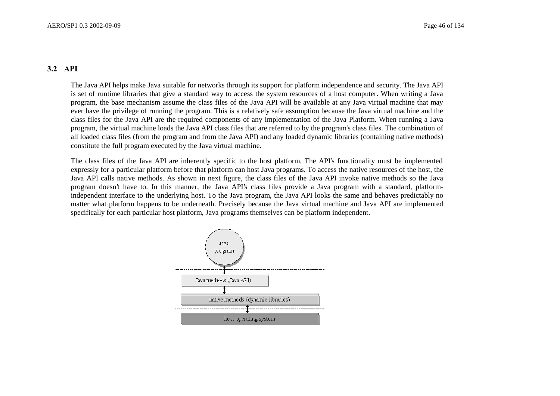# 3.2 API

The Java API helps make Java suitable for networks through its support for platform independence and security. The Java API is set of runtime libraries that give a standard way to access the system resources of a host computer. When writing a Java program, the base mechanism assume the class files of the Java API will be available at any Java virtual machine that may ever have the privilege of running the program. This is a relatively safe assumption because the Java virtual machine and the class files for the Java API are the required components of any implementation of the Java Platform. When running a Java program, the virtual machine loads the Java API class files that are referred to by the program's class files. The combination of all loaded class files (from the program and from the Java API) and any loaded dynamic libraries (containing native methods) constitute the full program executed by the Java virtual machine.

The class files of the Java API are inherently specific to the host platform. The API's functionality must be implemented expressly for a particular platform before that platform can host Java programs. To access the native resources of the host, the Java API calls native methods. As shown in next figure, the class files of the Java API invoke native methods so the Java program doesn't have to. In this manner, the Java API's class files provide a Java program with a standard, platformindependent interface to the underlying host. To the Java program, the Java API looks the same and behaves predictably no matter what platform happens to be underneath. Precisely because the Java virtual machine and Java API are implemented specifically for each particular host platform, Java programs themselves can be platform independent.

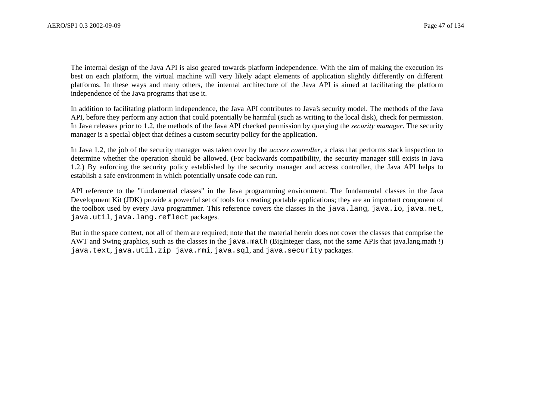The internal design of the Java API is also geared towards platform independence. With the aim of making the execution its best on each platform, the virtual machine will very likely adapt elements of application slightly differently on different platforms. In these ways and many others, the internal architecture of the Java API is aimed at facilitating the platform independence of the Java programs that use it.

In addition to facilitating platform independence, the Java API contributes to Java's security model. The methods of the Java API, before they perform any action that could potentially be harmful (such as writing to the local disk), check for permission. In Java releases prior to 1.2, the methods of the Java API checked permission by querying the *security manager*. The security manager is a special object that defines a custom security policy for the application.

In Java 1.2, the job of the security manager was taken over by the *access controller*, a class that performs stack inspection to determine whether the operation should be allowed. (For backwards compatibility, the security manager still exists in Java 1.2.) By enforcing the security policy established by the security manager and access controller, the Java API helps to establish a safe environment in which potentially unsafe code can run.

API reference to the "fundamental classes" in the Java programming environment. The fundamental classes in the Java Development Kit (JDK) provide a powerful set of tools for creating portable applications; they are an important component of the toolbox used by every Java programmer. This reference covers the classes in the java.lang, java.io, java.net, java.util, java.lang.reflect packages.

But in the space context, not all of them are required; note that the material herein does not cover the classes that comprise the AWT and Swing graphics, such as the classes in the java.math (BigInteger class, not the same APIs that java.lang.math !) java.text, java.util.zip java.rmi, java.sql, and java.security packages.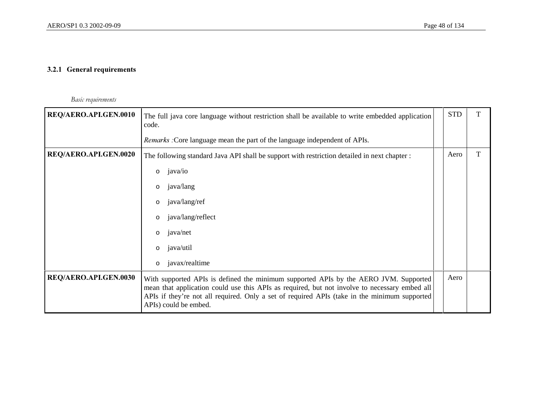# 3.2.1 General requirements

*Basic requirements* 

| REQ/AERO.API.GEN.0010 | The full java core language without restriction shall be available to write embedded application<br>code.                                                                                                                                                                                                      | <b>STD</b> |  |
|-----------------------|----------------------------------------------------------------------------------------------------------------------------------------------------------------------------------------------------------------------------------------------------------------------------------------------------------------|------------|--|
|                       | <i>Remarks</i> : Core language mean the part of the language independent of APIs.                                                                                                                                                                                                                              |            |  |
| REQ/AERO.API.GEN.0020 | The following standard Java API shall be support with restriction detailed in next chapter :                                                                                                                                                                                                                   | Aero       |  |
|                       | java/io<br>$\circ$                                                                                                                                                                                                                                                                                             |            |  |
|                       | java/lang<br>$\circ$                                                                                                                                                                                                                                                                                           |            |  |
|                       | java/lang/ref<br>$\circ$                                                                                                                                                                                                                                                                                       |            |  |
|                       | java/lang/reflect<br>$\circ$                                                                                                                                                                                                                                                                                   |            |  |
|                       | java/net<br>$\circ$                                                                                                                                                                                                                                                                                            |            |  |
|                       | java/util<br>$\circ$                                                                                                                                                                                                                                                                                           |            |  |
|                       | javax/realtime<br>$\circ$                                                                                                                                                                                                                                                                                      |            |  |
| REQ/AERO.API.GEN.0030 | With supported APIs is defined the minimum supported APIs by the AERO JVM. Supported<br>mean that application could use this APIs as required, but not involve to necessary embed all<br>APIs if they're not all required. Only a set of required APIs (take in the minimum supported<br>APIs) could be embed. | Aero       |  |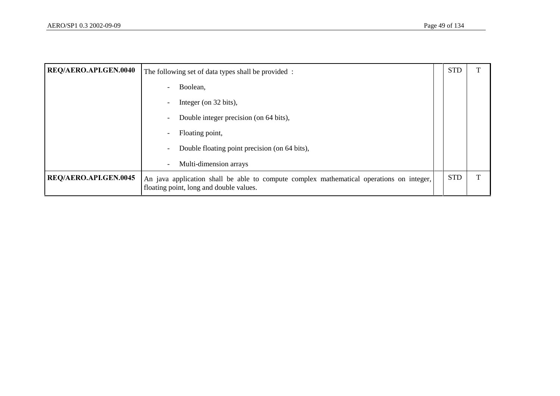| REQ/AERO.API.GEN.0040 | The following set of data types shall be provided:                                                                                  | <b>STD</b> |  |
|-----------------------|-------------------------------------------------------------------------------------------------------------------------------------|------------|--|
|                       | Boolean,                                                                                                                            |            |  |
|                       | Integer (on 32 bits),                                                                                                               |            |  |
|                       | Double integer precision (on 64 bits),                                                                                              |            |  |
|                       | Floating point,                                                                                                                     |            |  |
|                       | Double floating point precision (on 64 bits),                                                                                       |            |  |
|                       | Multi-dimension arrays                                                                                                              |            |  |
| REQ/AERO.API.GEN.0045 | An java application shall be able to compute complex mathematical operations on integer,<br>floating point, long and double values. | <b>STD</b> |  |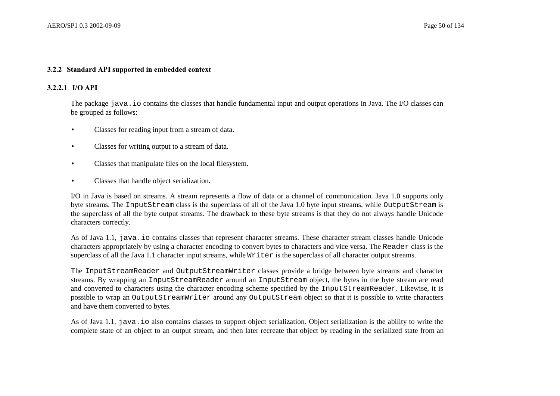#### 3.2.2 Standard API supported in embedded context

#### 3.2.2.1 I/O API

The package java. io contains the classes that handle fundamental input and output operations in Java. The I/O classes can be grouped as follows:

- Classes for reading input from a stream of data.
- Classes for writing output to a stream of data.
- Classes that manipulate files on the local filesystem.
- Classes that handle object serialization.

I/O in Java is based on streams. A stream represents a flow of data or a channel of communication. Java 1.0 supports only byte streams. The InputStream class is the superclass of all of the Java 1.0 byte input streams, while OutputStream is the superclass of all the byte output streams. The drawback to these byte streams is that they do not always handle Unicode characters correctly.

As of Java 1.1, java.io contains classes that represent character streams. These character stream classes handle Unicode characters appropriately by using a character encoding to convert bytes to characters and vice versa. The Reader class is the superclass of all the Java 1.1 character input streams, while  $W\text{inter}$  is the superclass of all character output streams.

The InputStreamReader and OutputStreamWriter classes provide a bridge between byte streams and character streams. By wrapping an InputStreamReader around an InputStream object, the bytes in the byte stream are read and converted to characters using the character encoding scheme specified by the InputStreamReader. Likewise, it is possible to wrap an OutputStreamWriter around any OutputStream object so that it is possible to write characters and have them converted to bytes.

As of Java 1.1, java.io also contains classes to support object serialization. Object serialization is the ability to write the complete state of an object to an output stream, and then later recreate that object by reading in the serialized state from an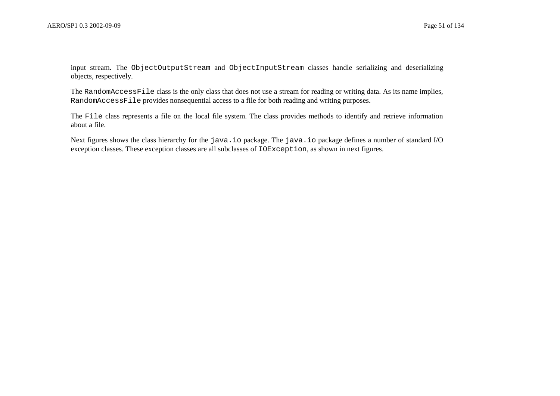input stream. The ObjectOutputStream and ObjectInputStream classes handle serializing and deserializing objects, respectively.

The RandomAccessFile class is the only class that does not use a stream for reading or writing data. As its name implies, RandomAccessFile provides nonsequential access to a file for both reading and writing purposes.

The File class represents a file on the local file system. The class provides methods to identify and retrieve information about a file.

Next figures shows the class hierarchy for the java.io package. The java.io package defines a number of standard I/O exception classes. These exception classes are all subclasses of IOException, as shown in next figures.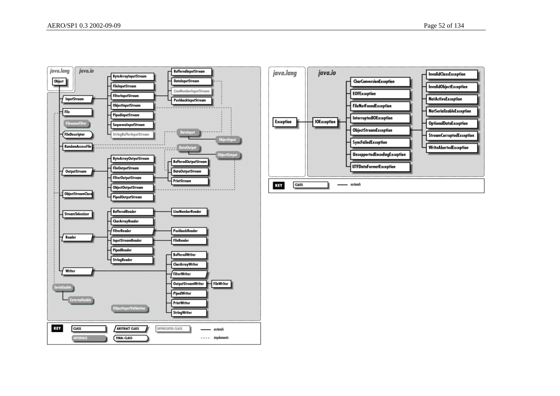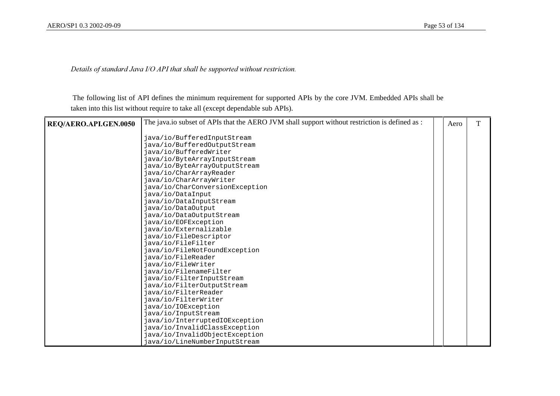Details of standard Java I/O API that shall be supported without restriction.

 The following list of API defines the minimum requirement for supported APIs by the core JVM. Embedded APIs shall be taken into this list without require to take all (except dependable sub APIs).

| REQ/AERO.API.GEN.0050 | The java.io subset of APIs that the AERO JVM shall support without restriction is defined as : | Aero | т |
|-----------------------|------------------------------------------------------------------------------------------------|------|---|
|                       |                                                                                                |      |   |
|                       | java/io/BufferedInputStream                                                                    |      |   |
|                       | java/io/BufferedOutputStream                                                                   |      |   |
|                       | java/io/BufferedWriter                                                                         |      |   |
|                       | java/io/ByteArrayInputStream                                                                   |      |   |
|                       | java/io/ByteArrayOutputStream                                                                  |      |   |
|                       | java/io/CharArrayReader                                                                        |      |   |
|                       | java/io/CharArrayWriter                                                                        |      |   |
|                       | java/io/CharConversionException                                                                |      |   |
|                       | java/io/DataInput                                                                              |      |   |
|                       | java/io/DataInputStream                                                                        |      |   |
|                       | java/io/DataOutput                                                                             |      |   |
|                       | java/io/DataOutputStream                                                                       |      |   |
|                       | java/io/EOFException                                                                           |      |   |
|                       | java/io/Externalizable                                                                         |      |   |
|                       | java/io/FileDescriptor                                                                         |      |   |
|                       | java/io/FileFilter                                                                             |      |   |
|                       | java/io/FileNotFoundException                                                                  |      |   |
|                       | java/io/FileReader                                                                             |      |   |
|                       | java/io/FileWriter                                                                             |      |   |
|                       | java/io/FilenameFilter                                                                         |      |   |
|                       | java/io/FilterInputStream                                                                      |      |   |
|                       | java/io/FilterOutputStream                                                                     |      |   |
|                       | java/io/FilterReader                                                                           |      |   |
|                       | java/io/FilterWriter                                                                           |      |   |
|                       | java/io/IOException                                                                            |      |   |
|                       | java/io/InputStream                                                                            |      |   |
|                       | java/io/InterruptedIOException                                                                 |      |   |
|                       | java/io/InvalidClassException                                                                  |      |   |
|                       | java/io/InvalidObjectException                                                                 |      |   |
|                       | java/io/LineNumberInputStream                                                                  |      |   |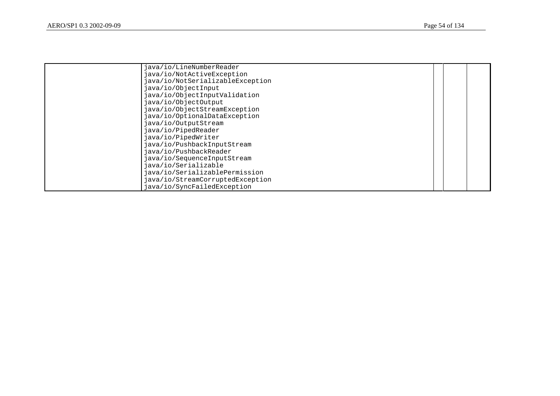| java/io/LineNumberReader         |  |  |
|----------------------------------|--|--|
| java/io/NotActiveException       |  |  |
| java/io/NotSerializableException |  |  |
| java/io/ObjectInput              |  |  |
| java/io/ObjectInputValidation    |  |  |
| java/io/ObjectOutput             |  |  |
| java/io/ObjectStreamException    |  |  |
| java/io/OptionalDataException    |  |  |
| java/io/OutputStream             |  |  |
| java/io/PipedReader              |  |  |
| java/io/PipedWriter              |  |  |
| java/io/PushbackInputStream      |  |  |
| java/io/PushbackReader           |  |  |
| java/io/SequenceInputStream      |  |  |
| java/io/Serializable             |  |  |
| java/io/SerializablePermission   |  |  |
| java/io/StreamCorruptedException |  |  |
| java/io/SyncFailedException      |  |  |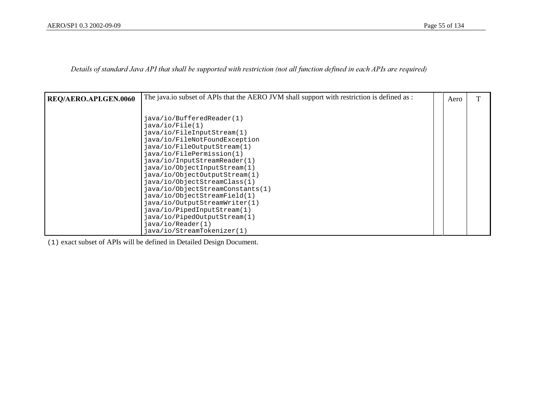Details of standard Java API that shall be supported with restriction (not all function defined in each APIs are required)

| <b>REQ/AERO.API.GEN.0060</b> | The java.io subset of APIs that the AERO JVM shall support with restriction is defined as : | Aero |  |
|------------------------------|---------------------------------------------------------------------------------------------|------|--|
|                              |                                                                                             |      |  |
|                              | java/io/BufferedReader(1)                                                                   |      |  |
|                              | $i$ ava/io/File(1)                                                                          |      |  |
|                              | java/io/FileInputStream(1)                                                                  |      |  |
|                              | java/io/FileNotFoundException                                                               |      |  |
|                              | java/io/FileOutputStream(1)                                                                 |      |  |
|                              | java/io/FilePermission(1)                                                                   |      |  |
|                              | java/io/InputStreamReader(1)                                                                |      |  |
|                              | java/io/ObjectInputStream(1)                                                                |      |  |
|                              | java/io/ObjectOutputStream(1)                                                               |      |  |
|                              | java/io/ObjectStreamClass(1)                                                                |      |  |
|                              | java/io/ObjectStreamConstants(1)                                                            |      |  |
|                              | java/io/ObjectStreamField(1)                                                                |      |  |
|                              | java/io/OutputStreamWriter(1)                                                               |      |  |
|                              | java/io/PipedInputStream(1)                                                                 |      |  |
|                              | java/io/PipedOutputStream(1)                                                                |      |  |
|                              | java/io/Reader(1)                                                                           |      |  |
|                              | java/io/StreamTokenizer(1)                                                                  |      |  |

(1) exact subset of APIs will be defined in Detailed Design Document.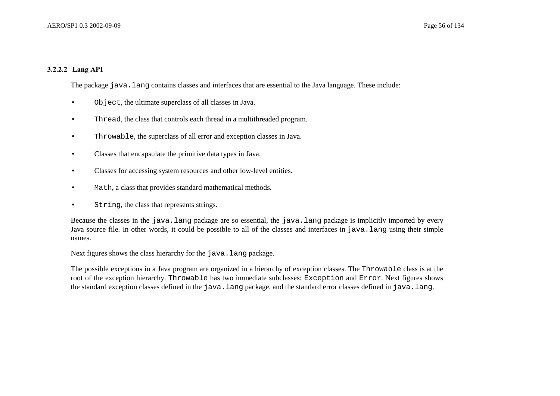## 3.2.2.2 Lang API

The package java.lang contains classes and interfaces that are essential to the Java language. These include:

- Object, the ultimate superclass of all classes in Java.
- Thread, the class that controls each thread in a multithreaded program.
- Throwable, the superclass of all error and exception classes in Java.
- Classes that encapsulate the primitive data types in Java.
- Classes for accessing system resources and other low-level entities.
- Math, a class that provides standard mathematical methods.
- String, the class that represents strings.

Because the classes in the java.lang package are so essential, the java.lang package is implicitly imported by every Java source file. In other words, it could be possible to all of the classes and interfaces in java.lang using their simple names.

Next figures shows the class hierarchy for the java.lang package.

The possible exceptions in a Java program are organized in a hierarchy of exception classes. The Throwable class is at the root of the exception hierarchy. Throwable has two immediate subclasses: Exception and Error. Next figures shows the standard exception classes defined in the java.lang package, and the standard error classes defined in java.lang.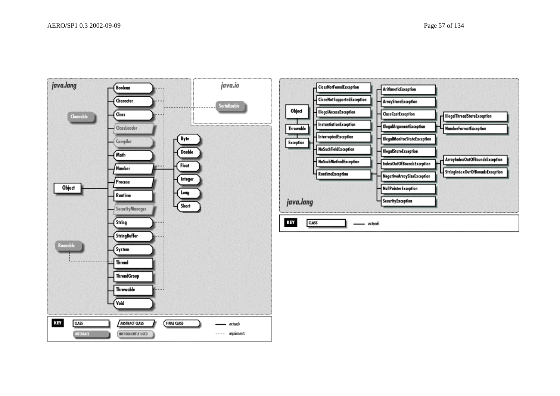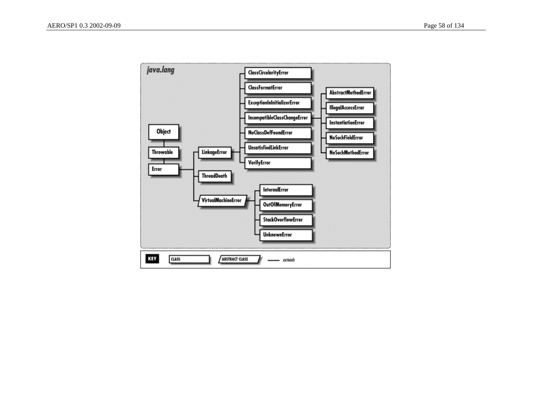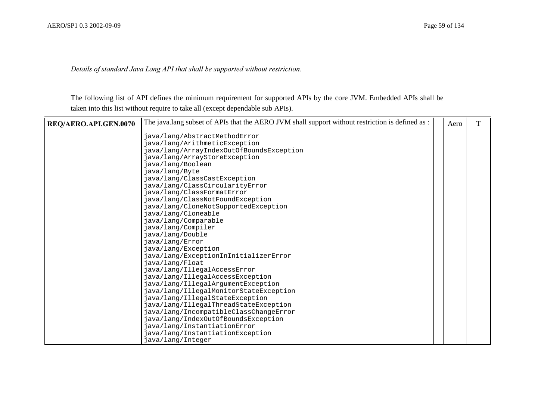Details of standard Java Lang API that shall be supported without restriction.

The following list of API defines the minimum requirement for supported APIs by the core JVM. Embedded APIs shall be taken into this list without require to take all (except dependable sub APIs).

| REQ/AERO.API.GEN.0070 | The java.lang subset of APIs that the AERO JVM shall support without restriction is defined as : | Aero |  |
|-----------------------|--------------------------------------------------------------------------------------------------|------|--|
|                       | java/lang/AbstractMethodError                                                                    |      |  |
|                       | java/lang/ArithmeticException                                                                    |      |  |
|                       | java/lang/ArrayIndexOutOfBoundsException                                                         |      |  |
|                       | java/lang/ArrayStoreException                                                                    |      |  |
|                       | java/lang/Boolean                                                                                |      |  |
|                       | java/lang/Byte                                                                                   |      |  |
|                       | java/lang/ClassCastException                                                                     |      |  |
|                       | java/lang/ClassCircularityError                                                                  |      |  |
|                       | java/lang/ClassFormatError                                                                       |      |  |
|                       | java/lang/ClassNotFoundException                                                                 |      |  |
|                       | java/lang/CloneNotSupportedException                                                             |      |  |
|                       | java/lang/Cloneable                                                                              |      |  |
|                       | java/lang/Comparable                                                                             |      |  |
|                       | java/lang/Compiler                                                                               |      |  |
|                       | java/lang/Double                                                                                 |      |  |
|                       | java/lang/Error                                                                                  |      |  |
|                       | java/lang/Exception                                                                              |      |  |
|                       | java/lang/ExceptionInInitializerError                                                            |      |  |
|                       | java/lang/Float                                                                                  |      |  |
|                       | java/lang/IllegalAccessError                                                                     |      |  |
|                       | java/lang/IllegalAccessException                                                                 |      |  |
|                       | java/lang/IllegalArgumentException                                                               |      |  |
|                       | java/lang/IllegalMonitorStateException                                                           |      |  |
|                       | java/lang/IllegalStateException                                                                  |      |  |
|                       | java/lang/IllegalThreadStateException                                                            |      |  |
|                       | java/lang/IncompatibleClassChangeError                                                           |      |  |
|                       | java/lang/IndexOutOfBoundsException                                                              |      |  |
|                       | java/lang/InstantiationError                                                                     |      |  |
|                       | java/lang/InstantiationException                                                                 |      |  |
|                       | java/lang/Integer                                                                                |      |  |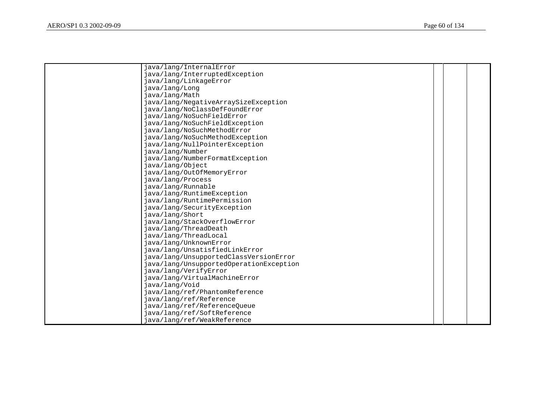| java/lang/InternalError                 |  |  |
|-----------------------------------------|--|--|
| java/lang/InterruptedException          |  |  |
| java/lang/LinkageError                  |  |  |
| java/lang/Long                          |  |  |
| java/lang/Math                          |  |  |
| java/lang/NegativeArraySizeException    |  |  |
| java/lang/NoClassDefFoundError          |  |  |
| java/lang/NoSuchFieldError              |  |  |
| java/lang/NoSuchFieldException          |  |  |
| java/lang/NoSuchMethodError             |  |  |
| java/lang/NoSuchMethodException         |  |  |
| java/lang/NullPointerException          |  |  |
| java/lang/Number                        |  |  |
| java/lang/NumberFormatException         |  |  |
| java/lang/Object                        |  |  |
| java/lang/OutOfMemoryError              |  |  |
| java/lang/Process                       |  |  |
| java/lang/Runnable                      |  |  |
| java/lang/RuntimeException              |  |  |
| java/lang/RuntimePermission             |  |  |
| java/lang/SecurityException             |  |  |
| java/lang/Short                         |  |  |
| java/lang/StackOverflowError            |  |  |
| java/lang/ThreadDeath                   |  |  |
| java/lang/ThreadLocal                   |  |  |
| java/lang/UnknownError                  |  |  |
| java/lang/UnsatisfiedLinkError          |  |  |
| java/lang/UnsupportedClassVersionError  |  |  |
| java/lang/UnsupportedOperationException |  |  |
| java/lang/VerifyError                   |  |  |
| java/lang/VirtualMachineError           |  |  |
| java/lang/Void                          |  |  |
| java/lang/ref/PhantomReference          |  |  |
| java/lang/ref/Reference                 |  |  |
| java/lang/ref/ReferenceQueue            |  |  |
| java/lang/ref/SoftReference             |  |  |
| java/lang/ref/WeakReference             |  |  |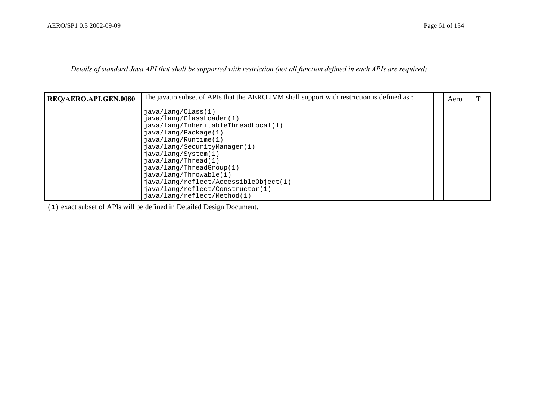Details of standard Java API that shall be supported with restriction (not all function defined in each APIs are required)

| <b>REQ/AERO.API.GEN.0080</b> | The java.io subset of APIs that the AERO JVM shall support with restriction is defined as :                                                                                                  | Aero |  |
|------------------------------|----------------------------------------------------------------------------------------------------------------------------------------------------------------------------------------------|------|--|
|                              | java/lang/Class(1)<br>java/lang/ClassLoader(1)<br>java/lang/InheritableThreadLocal(1)<br>java/lang/Package(1)<br>java/lang/Runtime(1)<br>java/lang/SecurityManager(1)<br>java/lang/System(1) |      |  |
|                              | java/lang/Thread(1)<br>java/lang/ThreadGroup(1)<br>java/lang/Throwable(1)<br>java/lang/reflect/AccessibleObject(1)<br>java/lang/reflect/Constructor(1)<br>java/lang/reflect/Method(1)        |      |  |

(1) exact subset of APIs will be defined in Detailed Design Document.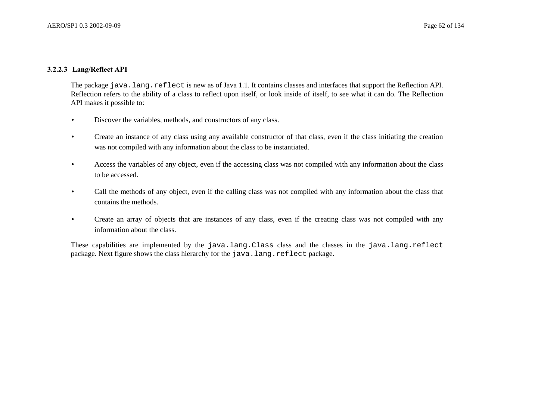### 3.2.2.3 Lang/Reflect API

The package java.lang.reflect is new as of Java 1.1. It contains classes and interfaces that support the Reflection API. Reflection refers to the ability of a class to reflect upon itself, or look inside of itself, to see what it can do. The Reflection API makes it possible to:

- Discover the variables, methods, and constructors of any class.
- Create an instance of any class using any available constructor of that class, even if the class initiating the creation was not compiled with any information about the class to be instantiated.
- Access the variables of any object, even if the accessing class was not compiled with any information about the class to be accessed.
- Call the methods of any object, even if the calling class was not compiled with any information about the class that contains the methods.
- Create an array of objects that are instances of any class, even if the creating class was not compiled with any information about the class.

These capabilities are implemented by the java.lang.Class class and the classes in the java.lang.reflect package. Next figure shows the class hierarchy for the java.lang.reflect package.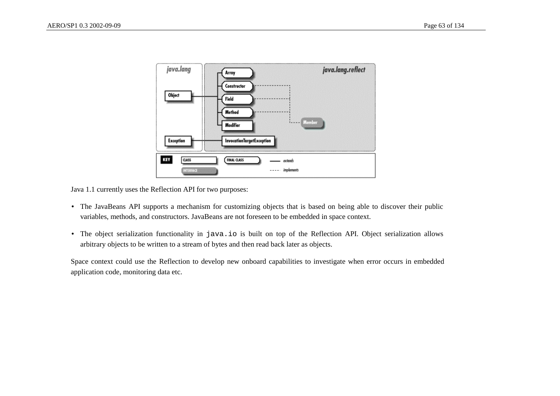

Java 1.1 currently uses the Reflection API for two purposes:

- The JavaBeans API supports a mechanism for customizing objects that is based on being able to discover their public variables, methods, and constructors. JavaBeans are not foreseen to be embedded in space context.
- The object serialization functionality in java.io is built on top of the Reflection API. Object serialization allows arbitrary objects to be written to a stream of bytes and then read back later as objects.

Space context could use the Reflection to develop new onboard capabilities to investigate when error occurs in embedded application code, monitoring data etc.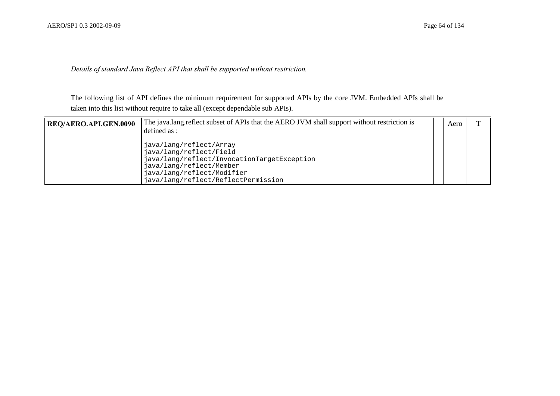Details of standard Java Reflect API that shall be supported without restriction.

The following list of API defines the minimum requirement for supported APIs by the core JVM. Embedded APIs shall be taken into this list without require to take all (except dependable sub APIs).

| REQ/AERO.API.GEN.0090 | The java.lang.reflect subset of APIs that the AERO JVM shall support without restriction is<br>defined as :                                                                                        | Aero |  |
|-----------------------|----------------------------------------------------------------------------------------------------------------------------------------------------------------------------------------------------|------|--|
|                       | java/lang/reflect/Array<br>java/lang/reflect/Field<br>java/lang/reflect/InvocationTargetException<br>java/lang/reflect/Member<br>java/lang/reflect/Modifier<br>java/lang/reflect/ReflectPermission |      |  |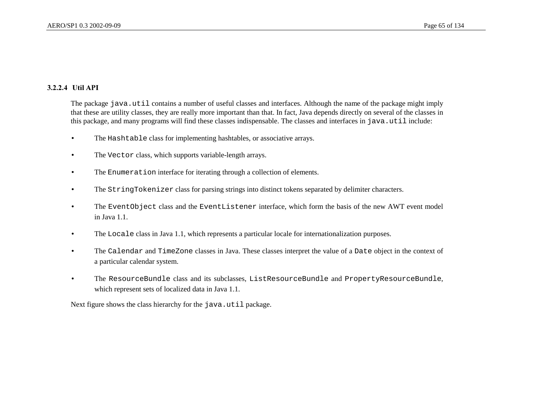### 3.2.2.4 Util API

The package java.util contains a number of useful classes and interfaces. Although the name of the package might imply that these are utility classes, they are really more important than that. In fact, Java depends directly on several of the classes in this package, and many programs will find these classes indispensable. The classes and interfaces in java.util include:

- The Hashtable class for implementing hashtables, or associative arrays.
- The Vector class, which supports variable-length arrays.
- The Enumeration interface for iterating through a collection of elements.
- The StringTokenizer class for parsing strings into distinct tokens separated by delimiter characters.
- The EventObject class and the EventListener interface, which form the basis of the new AWT event model in Java 1.1.
- The Locale class in Java 1.1, which represents a particular locale for internationalization purposes.
- The Calendar and TimeZone classes in Java. These classes interpret the value of a Date object in the context of a particular calendar system.
- The ResourceBundle class and its subclasses, ListResourceBundle and PropertyResourceBundle, which represent sets of localized data in Java 1.1.

Next figure shows the class hierarchy for the java.util package.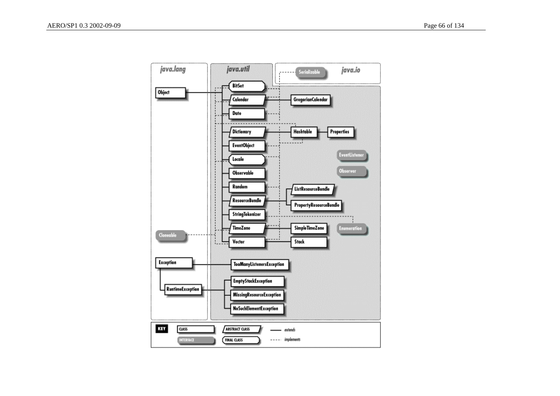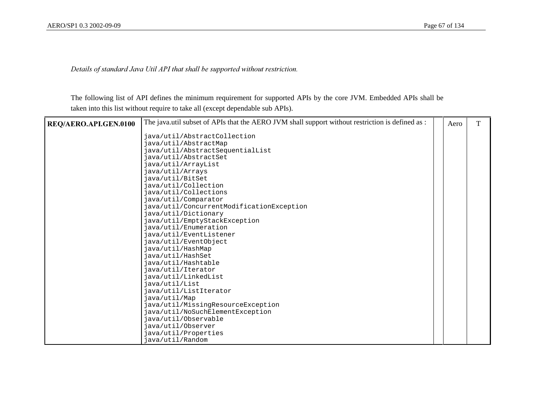Details of standard Java Util API that shall be supported without restriction.

The following list of API defines the minimum requirement for supported APIs by the core JVM. Embedded APIs shall be taken into this list without require to take all (except dependable sub APIs).

| REQ/AERO.API.GEN.0100 | The java.util subset of APIs that the AERO JVM shall support without restriction is defined as : | Aero | T |
|-----------------------|--------------------------------------------------------------------------------------------------|------|---|
|                       | java/util/AbstractCollection                                                                     |      |   |
|                       | java/util/AbstractMap                                                                            |      |   |
|                       | java/util/AbstractSequentialList                                                                 |      |   |
|                       | java/util/AbstractSet                                                                            |      |   |
|                       | java/util/ArrayList                                                                              |      |   |
|                       | java/util/Arrays                                                                                 |      |   |
|                       | java/util/BitSet                                                                                 |      |   |
|                       | java/util/Collection                                                                             |      |   |
|                       | java/util/Collections                                                                            |      |   |
|                       | java/util/Comparator                                                                             |      |   |
|                       | java/util/ConcurrentModificationException                                                        |      |   |
|                       | java/util/Dictionary                                                                             |      |   |
|                       | java/util/EmptyStackException                                                                    |      |   |
|                       | java/util/Enumeration                                                                            |      |   |
|                       | java/util/EventListener                                                                          |      |   |
|                       | java/util/EventObject                                                                            |      |   |
|                       | java/util/HashMap                                                                                |      |   |
|                       | java/util/HashSet                                                                                |      |   |
|                       | java/util/Hashtable                                                                              |      |   |
|                       | java/util/Iterator                                                                               |      |   |
|                       | java/util/LinkedList                                                                             |      |   |
|                       | java/util/List                                                                                   |      |   |
|                       | java/util/ListIterator                                                                           |      |   |
|                       | java/util/Map                                                                                    |      |   |
|                       | java/util/MissingResourceException                                                               |      |   |
|                       | java/util/NoSuchElementException                                                                 |      |   |
|                       | java/util/Observable                                                                             |      |   |
|                       | java/util/Observer                                                                               |      |   |
|                       | java/util/Properties                                                                             |      |   |
|                       | java/util/Random                                                                                 |      |   |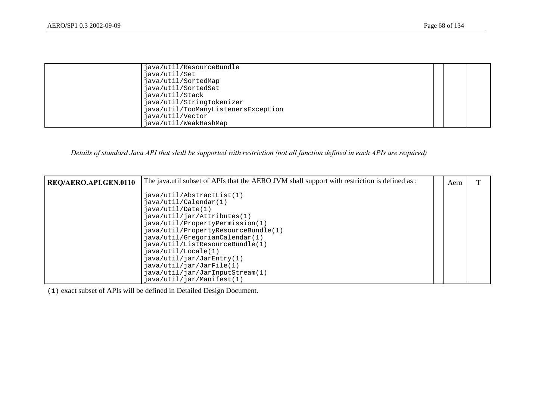| java/util/ResourceBundle            |                                                                                                      |  |
|-------------------------------------|------------------------------------------------------------------------------------------------------|--|
| java/util/SortedMap                 |                                                                                                      |  |
|                                     |                                                                                                      |  |
| java/util/StringTokenizer           |                                                                                                      |  |
| java/util/TooManyListenersException |                                                                                                      |  |
|                                     |                                                                                                      |  |
|                                     | java/util/Set<br>java/util/SortedSet<br>java/util/Stack<br>java/util/Vector<br>java/util/WeakHashMap |  |

# Details of standard Java API that shall be supported with restriction (not all function defined in each APIs are required)

| <b>REQ/AERO.API.GEN.0110</b> | The java.util subset of APIs that the AERO JVM shall support with restriction is defined as :                                                                                                                                                                                                                                                                                                                     | Aero |  |
|------------------------------|-------------------------------------------------------------------------------------------------------------------------------------------------------------------------------------------------------------------------------------------------------------------------------------------------------------------------------------------------------------------------------------------------------------------|------|--|
|                              | java.util/AbstractList(1)<br>java/util/Calendar(1)<br>$i$ ava/util/Date $(1)$<br>java/util/jar/Attributes(1)<br>java/util/PropertyPermission(1)<br>java/util/PropertyResourceBundle(1)<br>java/util/GregorianCalendar(1)<br>java/util/ListResourceBundle(1)<br>$i$ ava/util/Locale $(1)$<br>java.util/jar/JarEntry(1)<br>java.util/jar/JarFile(1)<br>java/util/jar/JarInputStream(1)<br>java/util/jar/Manifest(1) |      |  |

(1) exact subset of APIs will be defined in Detailed Design Document.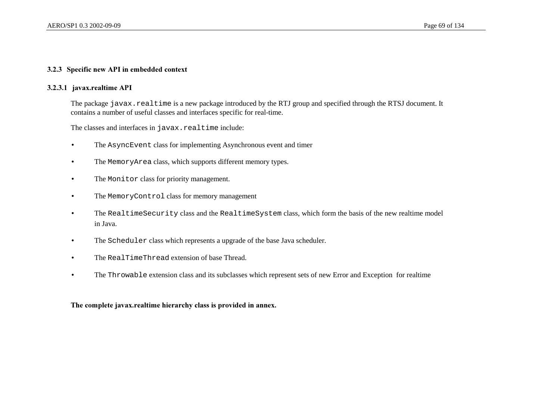#### 3.2.3 Specific new API in embedded context

#### 3.2.3.1 javax.realtime API

The package javax.realtime is a new package introduced by the RTJ group and specified through the RTSJ document. It contains a number of useful classes and interfaces specific for real-time.

The classes and interfaces in javax.realtime include:

- The AsyncEvent class for implementing Asynchronous event and timer
- The MemoryArea class, which supports different memory types.
- The Monitor class for priority management.
- The MemoryControl class for memory management
- The RealtimeSecurity class and the RealtimeSystem class, which form the basis of the new realtime model in Java.
- The Scheduler class which represents a upgrade of the base Java scheduler.
- The RealTimeThread extension of base Thread.
- The Throwable extension class and its subclasses which represent sets of new Error and Exception for realtime

The complete javax.realtime hierarchy class is provided in annex.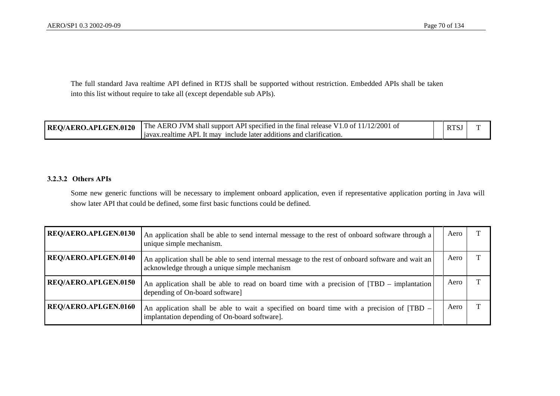The full standard Java realtime API defined in RTJS shall be supported without restriction. Embedded APIs shall be taken into this list without require to take all (except dependable sub APIs).

| <b>REQ/AERO.API.GEN.0120</b> The AERO JVM shall support API specified in the final release V1.0 of $11/12/2001$ of | <b>RTSJ</b> |  |
|--------------------------------------------------------------------------------------------------------------------|-------------|--|
| <i>l</i> javax.realtime API. It may include later additions and clarification.                                     |             |  |

#### 3.2.3.2 Others APIs

Some new generic functions will be necessary to implement onboard application, even if representative application porting in Java will show later API that could be defined, some first basic functions could be defined.

| <b>REQ/AERO.API.GEN.0130</b> | An application shall be able to send internal message to the rest of onboard software through a<br>unique simple mechanism.                        | Aero |  |
|------------------------------|----------------------------------------------------------------------------------------------------------------------------------------------------|------|--|
| REQ/AERO.API.GEN.0140        | An application shall be able to send internal message to the rest of onboard software and wait an<br>acknowledge through a unique simple mechanism | Aero |  |
| <b>REQ/AERO.API.GEN.0150</b> | An application shall be able to read on board time with a precision of [TBD – implantation]<br>depending of On-board software]                     | Aero |  |
| REQ/AERO.API.GEN.0160        | An application shall be able to wait a specified on board time with a precision of [TBD –<br>implantation depending of On-board software].         | Aero |  |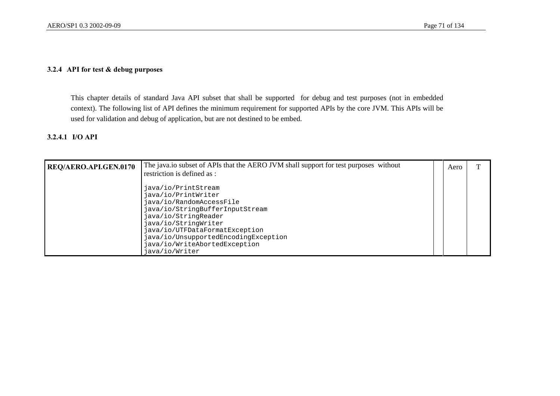## $3.2.4$  API for test & debug purposes

This chapter details of standard Java API subset that shall be supported for debug and test purposes (not in embedded context). The following list of API defines the minimum requirement for supported APIs by the core JVM. This APIs will be used for validation and debug of application, but are not destined to be embed.

#### 3.2.4.1 I/O API

| <b>REQ/AERO.API.GEN.0170</b> | The java.io subset of APIs that the AERO JVM shall support for test purposes without                                                                                                                                                                                                   | Aero |  |
|------------------------------|----------------------------------------------------------------------------------------------------------------------------------------------------------------------------------------------------------------------------------------------------------------------------------------|------|--|
|                              | restriction is defined as :                                                                                                                                                                                                                                                            |      |  |
|                              | java/io/PrintStream<br>java/io/PrintWriter<br>java/io/RandomAccessFile<br>java/io/StringBufferInputStream<br>java/io/StringReader<br>java/io/StringWriter<br>java/io/UTFDataFormatException<br>java/io/UnsupportedEncodingException<br>java/io/WriteAbortedException<br>java/io/Writer |      |  |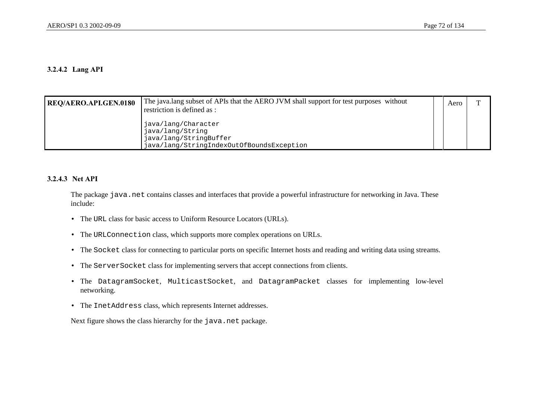#### 3.2.4.2 Lang API

| <b>REQ/AERO.API.GEN.0180</b> | The java.lang subset of APIs that the AERO JVM shall support for test purposes without<br>restriction is defined as : | Aero |  |
|------------------------------|-----------------------------------------------------------------------------------------------------------------------|------|--|
|                              | java/lang/Character<br>java/lang/String<br>java/lang/StringBuffer<br>java/lang/StringIndexOutOfBoundsException        |      |  |

#### 3.2.4.3 Net API

The package java.net contains classes and interfaces that provide a powerful infrastructure for networking in Java. These include:

- The URL class for basic access to Uniform Resource Locators (URLs).
- The URLConnection class, which supports more complex operations on URLs.
- The Socket class for connecting to particular ports on specific Internet hosts and reading and writing data using streams.
- The ServerSocket class for implementing servers that accept connections from clients.
- The DatagramSocket, MulticastSocket, and DatagramPacket classes for implementing low-level networking.
- The InetAddress class, which represents Internet addresses.

Next figure shows the class hierarchy for the java.net package.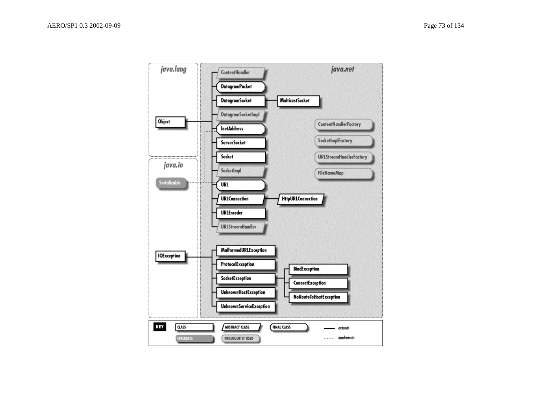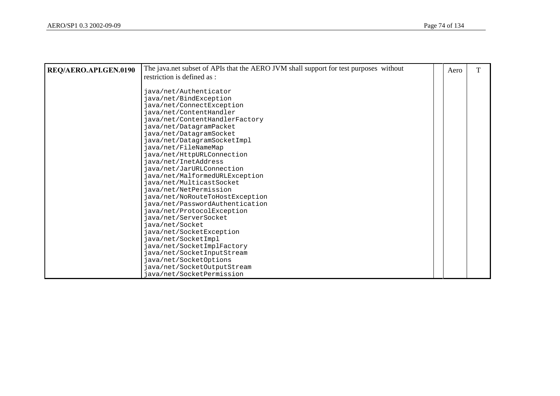| REQ/AERO.API.GEN.0190 | The java.net subset of APIs that the AERO JVM shall support for test purposes without | Aero | т |
|-----------------------|---------------------------------------------------------------------------------------|------|---|
|                       | restriction is defined as :                                                           |      |   |
|                       |                                                                                       |      |   |
|                       | java/net/Authenticator                                                                |      |   |
|                       | java/net/BindException                                                                |      |   |
|                       | java/net/ConnectException                                                             |      |   |
|                       | java/net/ContentHandler                                                               |      |   |
|                       | java/net/ContentHandlerFactory                                                        |      |   |
|                       | java/net/DatagramPacket                                                               |      |   |
|                       | java/net/DatagramSocket                                                               |      |   |
|                       | java/net/DatagramSocketImpl                                                           |      |   |
|                       | java/net/FileNameMap                                                                  |      |   |
|                       | java/net/HttpURLConnection                                                            |      |   |
|                       | java/net/InetAddress                                                                  |      |   |
|                       | java/net/JarURLConnection                                                             |      |   |
|                       | java/net/MalformedURLException                                                        |      |   |
|                       | java/net/MulticastSocket                                                              |      |   |
|                       | java/net/NetPermission                                                                |      |   |
|                       | java/net/NoRouteToHostException                                                       |      |   |
|                       | java/net/PasswordAuthentication                                                       |      |   |
|                       | java/net/ProtocolException                                                            |      |   |
|                       | java/net/ServerSocket                                                                 |      |   |
|                       | java/net/Socket                                                                       |      |   |
|                       | java/net/SocketException                                                              |      |   |
|                       | java/net/SocketImpl                                                                   |      |   |
|                       | java/net/SocketImplFactory                                                            |      |   |
|                       | java/net/SocketInputStream                                                            |      |   |
|                       | java/net/SocketOptions                                                                |      |   |
|                       | java/net/SocketOutputStream                                                           |      |   |
|                       | java/net/SocketPermission                                                             |      |   |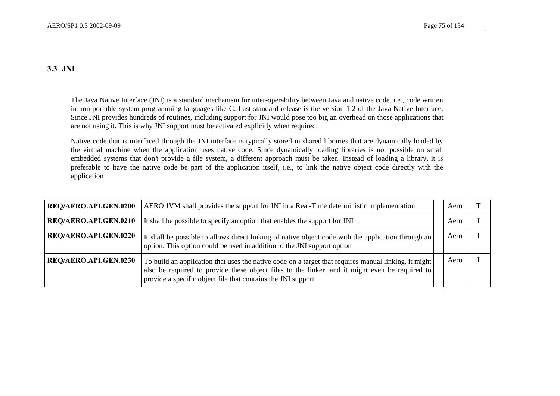### 3.3 JNI

The Java Native Interface (JNI) is a standard mechanism for inter-operability between Java and native code, i.e., code written in non-portable system programming languages like C. Last standard release is the version 1.2 of the Java Native Interface. Since JNI provides hundreds of routines, including support for JNI would pose too big an overhead on those applications that are not using it. This is why JNI support must be activated explicitly when required.

Native code that is interfaced through the JNI interface is typically stored in shared libraries that are dynamically loaded by the virtual machine when the application uses native code. Since dynamically loading libraries is not possible on small embedded systems that don't provide a file system, a different approach must be taken. Instead of loading a library, it is preferable to have the native code be part of the application itself, i.e., to link the native object code directly with the application

| REQ/AERO.API.GEN.0200 | AERO JVM shall provides the support for JNI in a Real-Time deterministic implementation                                                                                                                                                                                | Aero |  |
|-----------------------|------------------------------------------------------------------------------------------------------------------------------------------------------------------------------------------------------------------------------------------------------------------------|------|--|
| REQ/AERO.API.GEN.0210 | It shall be possible to specify an option that enables the support for JNI                                                                                                                                                                                             | Aero |  |
| REQ/AERO.API.GEN.0220 | It shall be possible to allows direct linking of native object code with the application through an<br>option. This option could be used in addition to the JNI support option                                                                                         | Aerc |  |
| REQ/AERO.API.GEN.0230 | To build an application that uses the native code on a target that requires manual linking, it might<br>also be required to provide these object files to the linker, and it might even be required to<br>provide a specific object file that contains the JNI support | Aerc |  |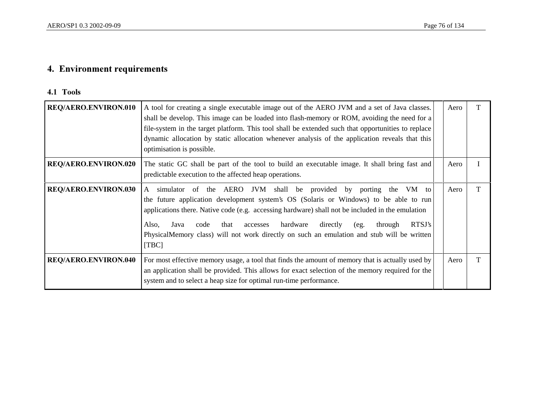# 4. Environment requirements

#### 4.1 Tools

| <b>REQ/AERO.ENVIRON.010</b> | A tool for creating a single executable image out of the AERO JVM and a set of Java classes.<br>shall be develop. This image can be loaded into flash-memory or ROM, avoiding the need for a<br>file-system in the target platform. This tool shall be extended such that opportunities to replace<br>dynamic allocation by static allocation whenever analysis of the application reveals that this<br>optimisation is possible.                                           | Aero |  |
|-----------------------------|-----------------------------------------------------------------------------------------------------------------------------------------------------------------------------------------------------------------------------------------------------------------------------------------------------------------------------------------------------------------------------------------------------------------------------------------------------------------------------|------|--|
| <b>REQ/AERO.ENVIRON.020</b> | The static GC shall be part of the tool to build an executable image. It shall bring fast and<br>predictable execution to the affected heap operations.                                                                                                                                                                                                                                                                                                                     | Aero |  |
| <b>REQ/AERO.ENVIRON.030</b> | simulator of the AERO JVM shall be provided by porting the VM to<br>A<br>the future application development system's OS (Solaris or Windows) to be able to run<br>applications there. Native code (e.g. accessing hardware) shall not be included in the emulation<br>RTSJ's<br>hardware<br>directly<br>Also,<br>through<br>Java<br>code<br>that<br>accesses<br>(eg.<br>PhysicalMemory class) will not work directly on such an emulation and stub will be written<br>[TBC] | Aero |  |
| <b>REQ/AERO.ENVIRON.040</b> | For most effective memory usage, a tool that finds the amount of memory that is actually used by<br>an application shall be provided. This allows for exact selection of the memory required for the<br>system and to select a heap size for optimal run-time performance.                                                                                                                                                                                                  | Aero |  |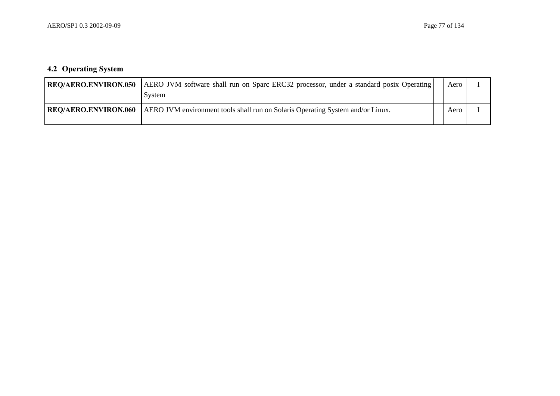## 4.2 Operating System

| <b>REQ/AERO.ENVIRON.050</b> | AERO JVM software shall run on Sparc ERC32 processor, under a standard posix Operating<br>System | Aero |  |
|-----------------------------|--------------------------------------------------------------------------------------------------|------|--|
| <b>REQ/AERO.ENVIRON.060</b> | AERO JVM environment tools shall run on Solaris Operating System and/or Linux.                   | Aero |  |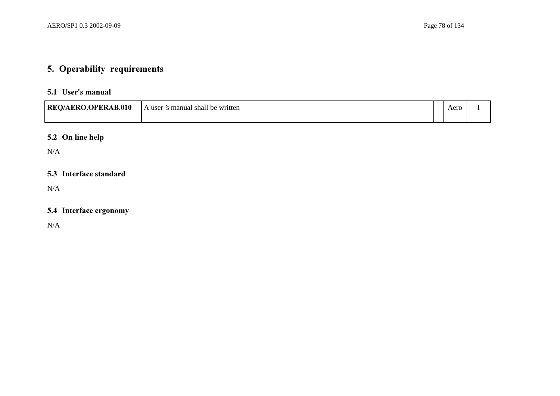# 5. Operability requirements

#### 5.1 User's manual

| <b>REQ/AERO.OPERAB.010</b> | s manual shall be written<br>user | Aero |  |
|----------------------------|-----------------------------------|------|--|
|                            |                                   |      |  |

## 5.2 On line help

N/A

#### 5.3 Interface standard

N/A

### 5.4 Interface ergonomy

N/A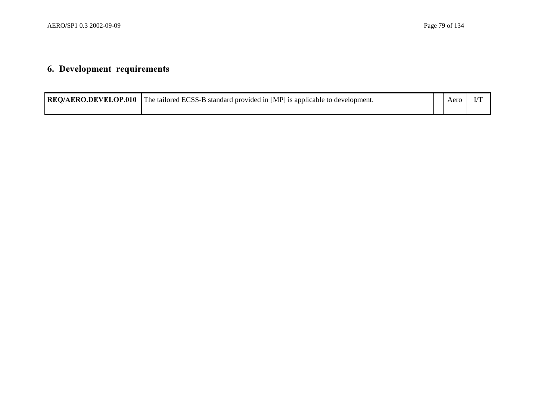# 6. Development requirements

| <b>REO/AERO.DEVELOP.010</b> The tailored ECSS-B standard provided in [MP] is applicable to development. | Aerc |  |
|---------------------------------------------------------------------------------------------------------|------|--|
|                                                                                                         |      |  |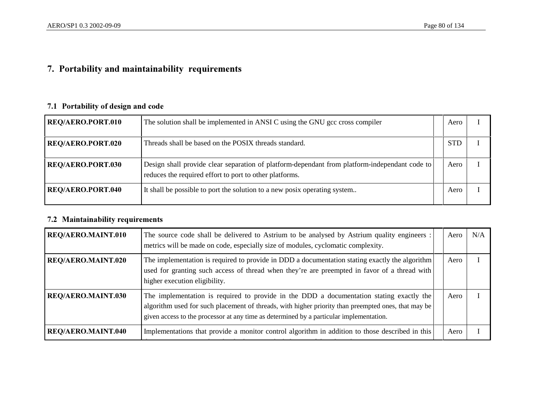# 7. Portability and maintainability requirements

## 7.1 Portability of design and code

| <b>REQ/AERO.PORT.010</b> | The solution shall be implemented in ANSI C using the GNU gcc cross compiler                                                                             | Aero       |  |
|--------------------------|----------------------------------------------------------------------------------------------------------------------------------------------------------|------------|--|
| <b>REQ/AERO.PORT.020</b> | Threads shall be based on the POSIX threads standard.                                                                                                    | <b>STD</b> |  |
| <b>REQ/AERO.PORT.030</b> | Design shall provide clear separation of platform-dependant from platform-independant code to<br>reduces the required effort to port to other platforms. | Aero       |  |
| <b>REQ/AERO.PORT.040</b> | It shall be possible to port the solution to a new posix operating system                                                                                | Aero       |  |

## 7.2 Maintainability requirements

| <b>REQ/AERO.MAINT.010</b> | The source code shall be delivered to Astrium to be analysed by Astrium quality engineers :<br>metrics will be made on code, especially size of modules, cyclomatic complexity.                                                                                                            | Aero | N/A |
|---------------------------|--------------------------------------------------------------------------------------------------------------------------------------------------------------------------------------------------------------------------------------------------------------------------------------------|------|-----|
| <b>REQ/AERO.MAINT.020</b> | The implementation is required to provide in DDD a documentation stating exactly the algorithm<br>used for granting such access of thread when they're are preempted in favor of a thread with<br>higher execution eligibility.                                                            | Aero |     |
| <b>REQ/AERO.MAINT.030</b> | The implementation is required to provide in the DDD a documentation stating exactly the<br>algorithm used for such placement of threads, with higher priority than preempted ones, that may be<br>given access to the processor at any time as determined by a particular implementation. | Aero |     |
| <b>REQ/AERO.MAINT.040</b> | Implementations that provide a monitor control algorithm in addition to those described in this                                                                                                                                                                                            | Aero |     |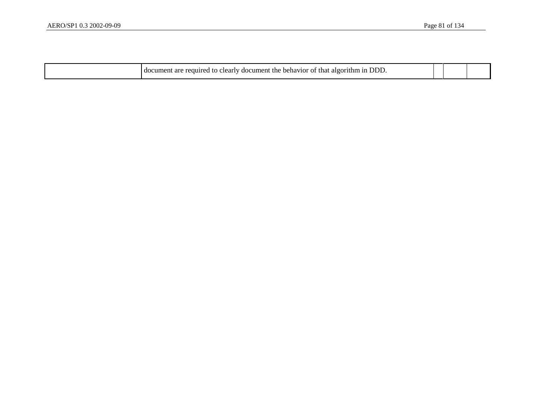| ונוני<br>that<br>- document .<br>.ne<br>u to c<br>regular<br>algori<br>behavior<br>. cleariv<br>. arc<br>amen<br>αo<br>-01 |  |  |
|----------------------------------------------------------------------------------------------------------------------------|--|--|